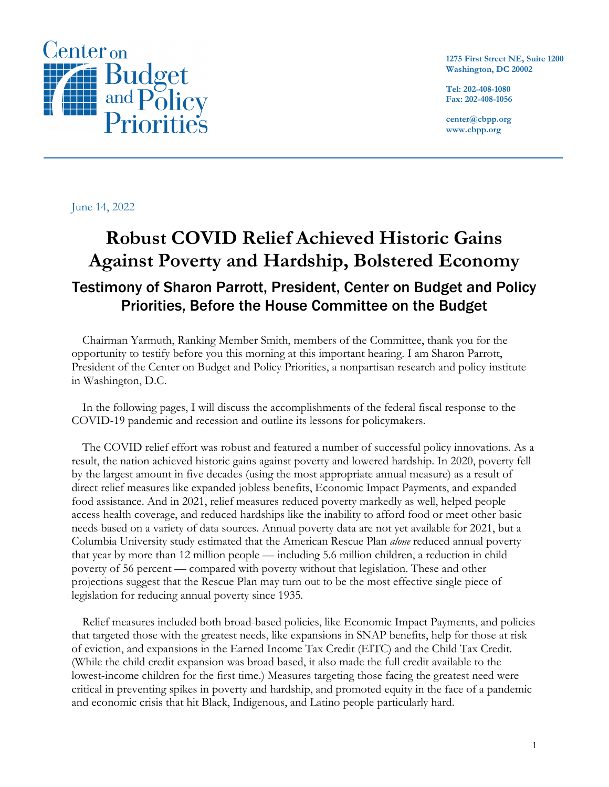

**1275 First Street NE, Suite 1200 Washington, DC 20002**

**Tel: 202-408-1080 Fax: 202-408-1056**

**center@cbpp.org www.cbpp.org**

June 14, 2022

# **Robust COVID Relief Achieved Historic Gains Against Poverty and Hardship, Bolstered Economy** Testimony of Sharon Parrott, President, Center on Budget and Policy Priorities, Before the House Committee on the Budget

Chairman Yarmuth, Ranking Member Smith, members of the Committee, thank you for the opportunity to testify before you this morning at this important hearing. I am Sharon Parrott, President of the Center on Budget and Policy Priorities, a nonpartisan research and policy institute in Washington, D.C.

In the following pages, I will discuss the accomplishments of the federal fiscal response to the COVID-19 pandemic and recession and outline its lessons for policymakers.

The COVID relief effort was robust and featured a number of successful policy innovations. As a result, the nation achieved historic gains against poverty and lowered hardship. In 2020, poverty fell by the largest amount in five decades (using the most appropriate annual measure) as a result of direct relief measures like expanded jobless benefits, Economic Impact Payments, and expanded food assistance. And in 2021, relief measures reduced poverty markedly as well, helped people access health coverage, and reduced hardships like the inability to afford food or meet other basic needs based on a variety of data sources. Annual poverty data are not yet available for 2021, but a Columbia University study estimated that the American Rescue Plan *alone* reduced annual poverty that year by more than 12 million people — including 5.6 million children, a reduction in child poverty of 56 percent — compared with poverty without that legislation. These and other projections suggest that the Rescue Plan may turn out to be the most effective single piece of legislation for reducing annual poverty since 1935.

Relief measures included both broad-based policies, like Economic Impact Payments, and policies that targeted those with the greatest needs, like expansions in SNAP benefits, help for those at risk of eviction, and expansions in the Earned Income Tax Credit (EITC) and the Child Tax Credit. (While the child credit expansion was broad based, it also made the full credit available to the lowest-income children for the first time.) Measures targeting those facing the greatest need were critical in preventing spikes in poverty and hardship, and promoted equity in the face of a pandemic and economic crisis that hit Black, Indigenous, and Latino people particularly hard.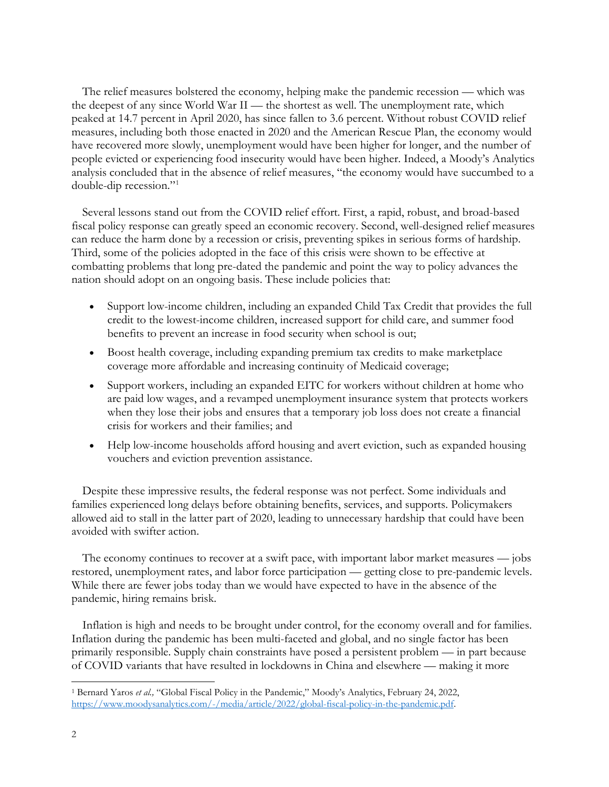The relief measures bolstered the economy, helping make the pandemic recession — which was the deepest of any since World War II — the shortest as well. The unemployment rate, which peaked at 14.7 percent in April 2020, has since fallen to 3.6 percent. Without robust COVID relief measures, including both those enacted in 2020 and the American Rescue Plan, the economy would have recovered more slowly, unemployment would have been higher for longer, and the number of people evicted or experiencing food insecurity would have been higher. Indeed, a Moody's Analytics analysis concluded that in the absence of relief measures, "the economy would have succumbed to a double-dip recession."[1](#page-1-0)

Several lessons stand out from the COVID relief effort. First, a rapid, robust, and broad-based fiscal policy response can greatly speed an economic recovery. Second, well-designed relief measures can reduce the harm done by a recession or crisis, preventing spikes in serious forms of hardship. Third, some of the policies adopted in the face of this crisis were shown to be effective at combatting problems that long pre-dated the pandemic and point the way to policy advances the nation should adopt on an ongoing basis. These include policies that:

- Support low-income children, including an expanded Child Tax Credit that provides the full credit to the lowest-income children, increased support for child care, and summer food benefits to prevent an increase in food security when school is out;
- Boost health coverage, including expanding premium tax credits to make marketplace coverage more affordable and increasing continuity of Medicaid coverage;
- Support workers, including an expanded EITC for workers without children at home who are paid low wages, and a revamped unemployment insurance system that protects workers when they lose their jobs and ensures that a temporary job loss does not create a financial crisis for workers and their families; and
- Help low-income households afford housing and avert eviction, such as expanded housing vouchers and eviction prevention assistance.

Despite these impressive results, the federal response was not perfect. Some individuals and families experienced long delays before obtaining benefits, services, and supports. Policymakers allowed aid to stall in the latter part of 2020, leading to unnecessary hardship that could have been avoided with swifter action.

The economy continues to recover at a swift pace, with important labor market measures — jobs restored, unemployment rates, and labor force participation — getting close to pre-pandemic levels. While there are fewer jobs today than we would have expected to have in the absence of the pandemic, hiring remains brisk.

Inflation is high and needs to be brought under control, for the economy overall and for families. Inflation during the pandemic has been multi-faceted and global, and no single factor has been primarily responsible. Supply chain constraints have posed a persistent problem — in part because of COVID variants that have resulted in lockdowns in China and elsewhere — making it more

<span id="page-1-0"></span><sup>1</sup> Bernard Yaros *et al.,* "Global Fiscal Policy in the Pandemic," Moody's Analytics, February 24, 2022, [https://www.moodysanalytics.com/-/media/article/2022/global-fiscal-policy-in-the-pandemic.pdf.](https://www.moodysanalytics.com/-/media/article/2022/global-fiscal-policy-in-the-pandemic.pdf)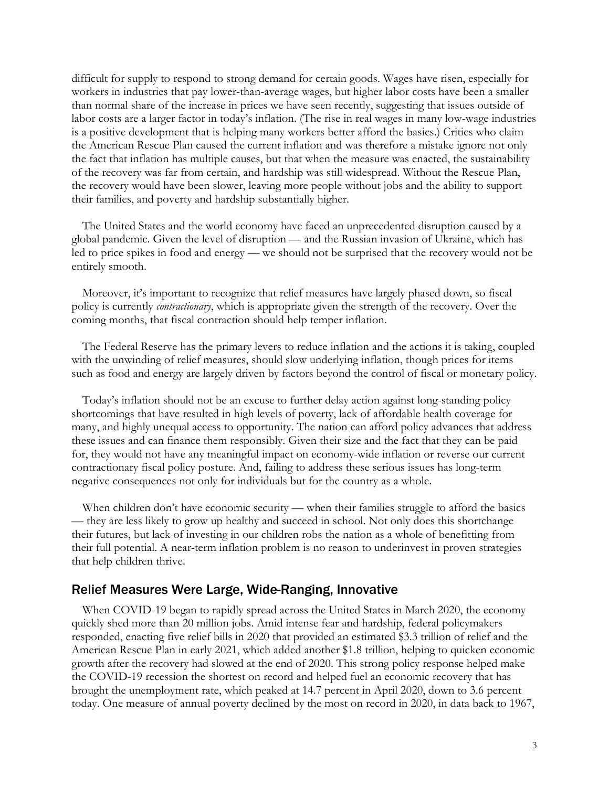difficult for supply to respond to strong demand for certain goods. Wages have risen, especially for workers in industries that pay lower-than-average wages, but higher labor costs have been a smaller than normal share of the increase in prices we have seen recently, suggesting that issues outside of labor costs are a larger factor in today's inflation. (The rise in real wages in many low-wage industries is a positive development that is helping many workers better afford the basics.) Critics who claim the American Rescue Plan caused the current inflation and was therefore a mistake ignore not only the fact that inflation has multiple causes, but that when the measure was enacted, the sustainability of the recovery was far from certain, and hardship was still widespread. Without the Rescue Plan, the recovery would have been slower, leaving more people without jobs and the ability to support their families, and poverty and hardship substantially higher.

The United States and the world economy have faced an unprecedented disruption caused by a global pandemic. Given the level of disruption — and the Russian invasion of Ukraine, which has led to price spikes in food and energy — we should not be surprised that the recovery would not be entirely smooth.

Moreover, it's important to recognize that relief measures have largely phased down, so fiscal policy is currently *contractionary*, which is appropriate given the strength of the recovery. Over the coming months, that fiscal contraction should help temper inflation.

The Federal Reserve has the primary levers to reduce inflation and the actions it is taking, coupled with the unwinding of relief measures, should slow underlying inflation, though prices for items such as food and energy are largely driven by factors beyond the control of fiscal or monetary policy.

Today's inflation should not be an excuse to further delay action against long-standing policy shortcomings that have resulted in high levels of poverty, lack of affordable health coverage for many, and highly unequal access to opportunity. The nation can afford policy advances that address these issues and can finance them responsibly. Given their size and the fact that they can be paid for, they would not have any meaningful impact on economy-wide inflation or reverse our current contractionary fiscal policy posture. And, failing to address these serious issues has long-term negative consequences not only for individuals but for the country as a whole.

When children don't have economic security — when their families struggle to afford the basics — they are less likely to grow up healthy and succeed in school. Not only does this shortchange their futures, but lack of investing in our children robs the nation as a whole of benefitting from their full potential. A near-term inflation problem is no reason to underinvest in proven strategies that help children thrive.

### Relief Measures Were Large, Wide-Ranging, Innovative

When COVID-19 began to rapidly spread across the United States in March 2020, the economy quickly shed more than 20 million jobs. Amid intense fear and hardship, federal policymakers responded, enacting five relief bills in 2020 that provided an estimated \$3.3 trillion of relief and the American Rescue Plan in early 2021, which added another \$1.8 trillion, helping to quicken economic growth after the recovery had slowed at the end of 2020. This strong policy response helped make the COVID-19 recession the shortest on record and helped fuel an economic recovery that has brought the unemployment rate, which peaked at 14.7 percent in April 2020, down to 3.6 percent today. One measure of annual poverty declined by the most on record in 2020, in data back to 1967,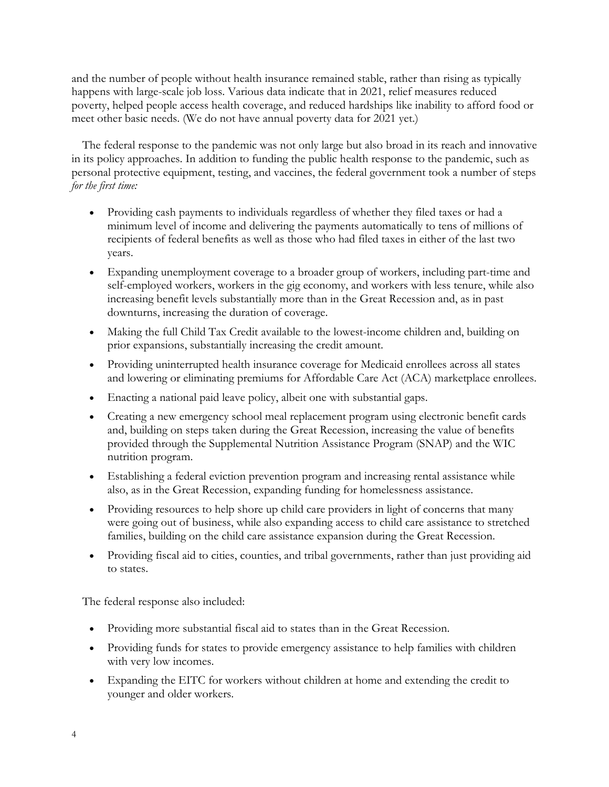and the number of people without health insurance remained stable, rather than rising as typically happens with large-scale job loss. Various data indicate that in 2021, relief measures reduced poverty, helped people access health coverage, and reduced hardships like inability to afford food or meet other basic needs. (We do not have annual poverty data for 2021 yet.)

The federal response to the pandemic was not only large but also broad in its reach and innovative in its policy approaches. In addition to funding the public health response to the pandemic, such as personal protective equipment, testing, and vaccines, the federal government took a number of steps *for the first time:*

- Providing cash payments to individuals regardless of whether they filed taxes or had a minimum level of income and delivering the payments automatically to tens of millions of recipients of federal benefits as well as those who had filed taxes in either of the last two years.
- Expanding unemployment coverage to a broader group of workers, including part-time and self-employed workers, workers in the gig economy, and workers with less tenure, while also increasing benefit levels substantially more than in the Great Recession and, as in past downturns, increasing the duration of coverage.
- Making the full Child Tax Credit available to the lowest-income children and, building on prior expansions, substantially increasing the credit amount.
- Providing uninterrupted health insurance coverage for Medicaid enrollees across all states and lowering or eliminating premiums for Affordable Care Act (ACA) marketplace enrollees.
- Enacting a national paid leave policy, albeit one with substantial gaps.
- Creating a new emergency school meal replacement program using electronic benefit cards and, building on steps taken during the Great Recession, increasing the value of benefits provided through the Supplemental Nutrition Assistance Program (SNAP) and the WIC nutrition program.
- Establishing a federal eviction prevention program and increasing rental assistance while also, as in the Great Recession, expanding funding for homelessness assistance.
- Providing resources to help shore up child care providers in light of concerns that many were going out of business, while also expanding access to child care assistance to stretched families, building on the child care assistance expansion during the Great Recession.
- Providing fiscal aid to cities, counties, and tribal governments, rather than just providing aid to states.

The federal response also included:

- Providing more substantial fiscal aid to states than in the Great Recession.
- Providing funds for states to provide emergency assistance to help families with children with very low incomes.
- Expanding the EITC for workers without children at home and extending the credit to younger and older workers.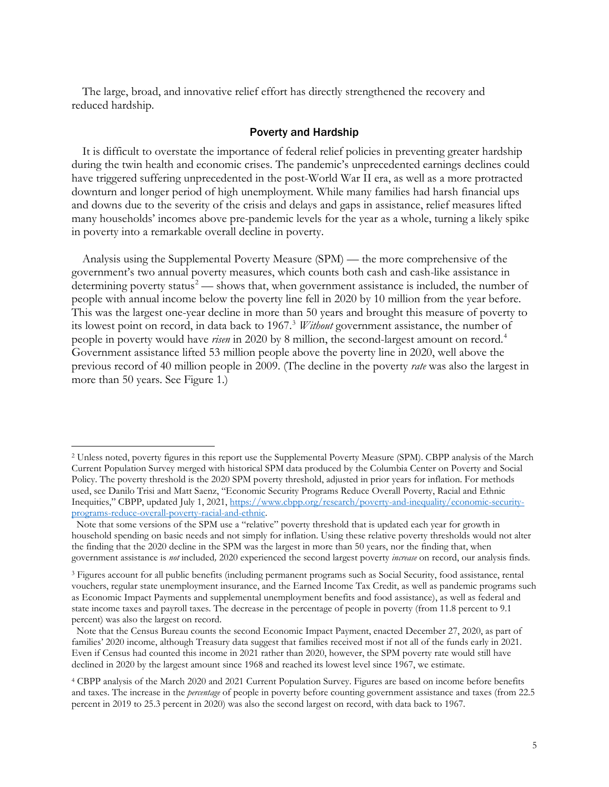The large, broad, and innovative relief effort has directly strengthened the recovery and reduced hardship.

#### Poverty and Hardship

It is difficult to overstate the importance of federal relief policies in preventing greater hardship during the twin health and economic crises. The pandemic's unprecedented earnings declines could have triggered suffering unprecedented in the post-World War II era, as well as a more protracted downturn and longer period of high unemployment. While many families had harsh financial ups and downs due to the severity of the crisis and delays and gaps in assistance, relief measures lifted many households' incomes above pre-pandemic levels for the year as a whole, turning a likely spike in poverty into a remarkable overall decline in poverty.

Analysis using the Supplemental Poverty Measure (SPM) — the more comprehensive of the government's two annual poverty measures, which counts both cash and cash-like assistance in determining poverty status<sup>[2](#page-4-0)</sup> — shows that, when government assistance is included, the number of people with annual income below the poverty line fell in 2020 by 10 million from the year before. This was the largest one-year decline in more than 50 years and brought this measure of poverty to its lowest point on record, in data back to 1967. [3](#page-4-1) *Without* government assistance, the number of people in poverty would have *risen* in 2020 by 8 million, the second-largest amount on record.[4](#page-4-2) Government assistance lifted 53 million people above the poverty line in 2020, well above the previous record of 40 million people in 2009. (The decline in the poverty *rate* was also the largest in more than 50 years. See Figure 1.)

<span id="page-4-0"></span><sup>2</sup> Unless noted, poverty figures in this report use the Supplemental Poverty Measure (SPM). CBPP analysis of the March Current Population Survey merged with historical SPM data produced by the Columbia Center on Poverty and Social Policy. The poverty threshold is the 2020 SPM poverty threshold, adjusted in prior years for inflation. For methods used, see Danilo Trisi and Matt Saenz, "Economic Security Programs Reduce Overall Poverty, Racial and Ethnic Inequities," CBPP, updated July 1, 2021, [https://www.cbpp.org/research/poverty-and-inequality/economic-security](https://www.cbpp.org/research/poverty-and-inequality/economic-security-programs-reduce-overall-poverty-racial-and-ethnic)[programs-reduce-overall-poverty-racial-and-ethnic.](https://www.cbpp.org/research/poverty-and-inequality/economic-security-programs-reduce-overall-poverty-racial-and-ethnic)

Note that some versions of the SPM use a "relative" poverty threshold that is updated each year for growth in household spending on basic needs and not simply for inflation. Using these relative poverty thresholds would not alter the finding that the 2020 decline in the SPM was the largest in more than 50 years, nor the finding that, when government assistance is *not* included*,* 2020 experienced the second largest poverty *increase* on record, our analysis finds.

<span id="page-4-1"></span><sup>3</sup> Figures account for all public benefits (including permanent programs such as Social Security, food assistance, rental vouchers, regular state unemployment insurance, and the Earned Income Tax Credit, as well as pandemic programs such as Economic Impact Payments and supplemental unemployment benefits and food assistance), as well as federal and state income taxes and payroll taxes. The decrease in the percentage of people in poverty (from 11.8 percent to 9.1 percent) was also the largest on record.

Note that the Census Bureau counts the second Economic Impact Payment, enacted December 27, 2020, as part of families' 2020 income, although Treasury data suggest that families received most if not all of the funds early in 2021. Even if Census had counted this income in 2021 rather than 2020, however, the SPM poverty rate would still have declined in 2020 by the largest amount since 1968 and reached its lowest level since 1967, we estimate.

<span id="page-4-2"></span><sup>4</sup> CBPP analysis of the March 2020 and 2021 Current Population Survey. Figures are based on income before benefits and taxes. The increase in the *percentage* of people in poverty before counting government assistance and taxes (from 22.5 percent in 2019 to 25.3 percent in 2020) was also the second largest on record, with data back to 1967.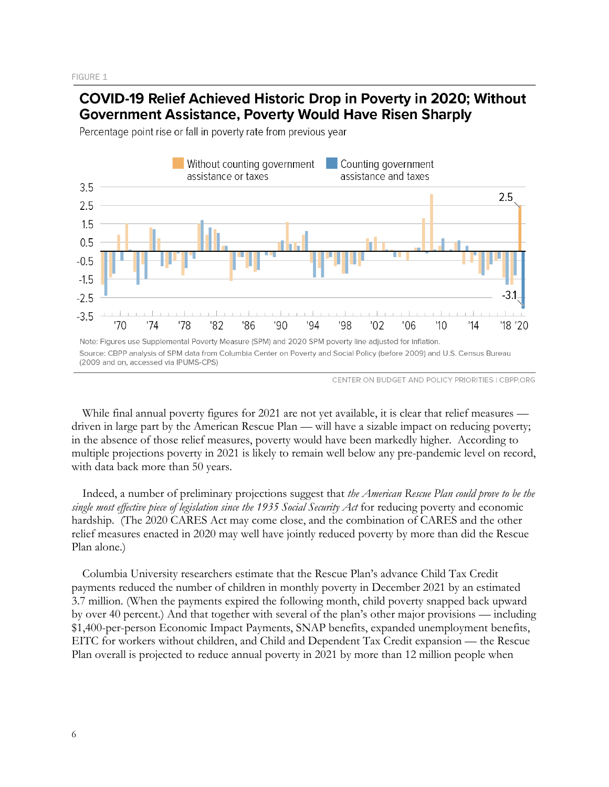# COVID-19 Relief Achieved Historic Drop in Poverty in 2020; Without **Government Assistance, Poverty Would Have Risen Sharply**

Percentage point rise or fall in poverty rate from previous year



CENTER ON BUDGET AND POLICY PRIORITIES | CBPP.ORG

While final annual poverty figures for 2021 are not yet available, it is clear that relief measures driven in large part by the American Rescue Plan — will have a sizable impact on reducing poverty; in the absence of those relief measures, poverty would have been markedly higher. According to multiple projections poverty in 2021 is likely to remain well below any pre-pandemic level on record, with data back more than 50 years.

Indeed, a number of preliminary projections suggest that *the American Rescue Plan could prove to be the single most effective piece of legislation since the 1935 Social Security Act* for reducing poverty and economic hardship. (The 2020 CARES Act may come close, and the combination of CARES and the other relief measures enacted in 2020 may well have jointly reduced poverty by more than did the Rescue Plan alone.)

Columbia University researchers estimate that the Rescue Plan's advance Child Tax Credit payments reduced the number of children in monthly poverty in December 2021 by an estimated 3.7 million. (When the payments expired the following month, child poverty snapped back upward by over 40 percent.) And that together with several of the plan's other major provisions — including \$1,400-per-person Economic Impact Payments, SNAP benefits, expanded unemployment benefits, EITC for workers without children, and Child and Dependent Tax Credit expansion — the Rescue Plan overall is projected to reduce annual poverty in 2021 by more than 12 million people when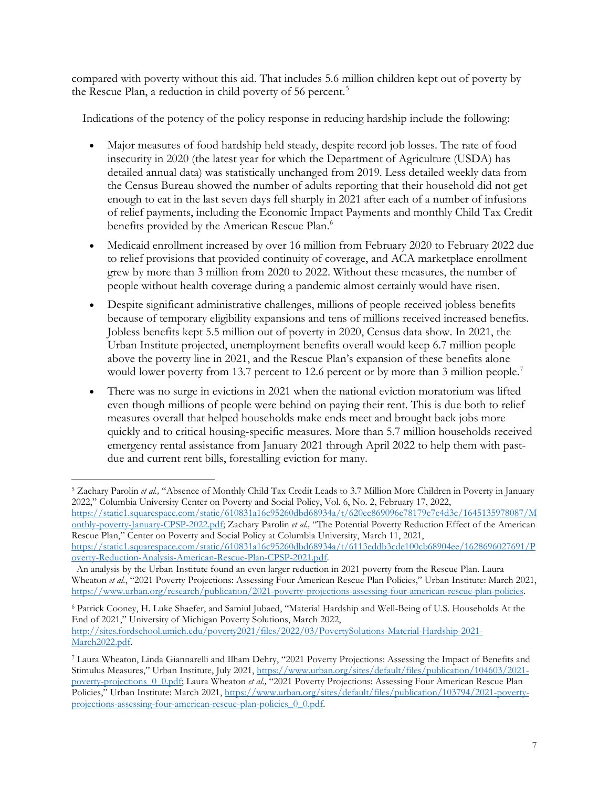compared with poverty without this aid. That includes 5.6 million children kept out of poverty by the Rescue Plan, a reduction in child poverty of 56 percent. [5](#page-6-0)

Indications of the potency of the policy response in reducing hardship include the following:

- Major measures of food hardship held steady, despite record job losses. The rate of food insecurity in 2020 (the latest year for which the Department of Agriculture (USDA) has detailed annual data) was statistically unchanged from 2019. Less detailed weekly data from the Census Bureau showed the number of adults reporting that their household did not get enough to eat in the last seven days fell sharply in 2021 after each of a number of infusions of relief payments, including the Economic Impact Payments and monthly Child Tax Credit benefits provided by the American Rescue Plan.<sup>[6](#page-6-1)</sup>
- Medicaid enrollment increased by over 16 million from February 2020 to February 2022 due to relief provisions that provided continuity of coverage, and ACA marketplace enrollment grew by more than 3 million from 2020 to 2022. Without these measures, the number of people without health coverage during a pandemic almost certainly would have risen.
- Despite significant administrative challenges, millions of people received jobless benefits because of temporary eligibility expansions and tens of millions received increased benefits. Jobless benefits kept 5.5 million out of poverty in 2020, Census data show. In 2021, the Urban Institute projected, unemployment benefits overall would keep 6.7 million people above the poverty line in 2021, and the Rescue Plan's expansion of these benefits alone would lower poverty from 13.[7](#page-6-2) percent to 12.6 percent or by more than 3 million people.<sup>7</sup>
- There was no surge in evictions in 2021 when the national eviction moratorium was lifted even though millions of people were behind on paying their rent. This is due both to relief measures overall that helped households make ends meet and brought back jobs more quickly and to critical housing-specific measures. More than 5.7 million households received emergency rental assistance from January 2021 through April 2022 to help them with pastdue and current rent bills, forestalling eviction for many.

<span id="page-6-1"></span><sup>6</sup> Patrick Cooney, H. Luke Shaefer, and Samiul Jubaed, "Material Hardship and Well-Being of U.S. Households At the End of 2021," University of Michigan Poverty Solutions, March 2022, [http://sites.fordschool.umich.edu/poverty2021/files/2022/03/PovertySolutions-Material-Hardship-2021-](http://sites.fordschool.umich.edu/poverty2021/files/2022/03/PovertySolutions-Material-Hardship-2021-March2022.pdf) [March2022.pdf.](http://sites.fordschool.umich.edu/poverty2021/files/2022/03/PovertySolutions-Material-Hardship-2021-March2022.pdf) 

<span id="page-6-0"></span><sup>5</sup> Zachary Parolin *et al.,* "Absence of Monthly Child Tax Credit Leads to 3.7 Million More Children in Poverty in January 2022," Columbia University Center on Poverty and Social Policy, Vol. 6, No. 2, February 17, 2022, [https://static1.squarespace.com/static/610831a16c95260dbd68934a/t/620ec869096c78179c7c4d3c/1645135978087/M](https://static1.squarespace.com/static/610831a16c95260dbd68934a/t/620ec869096c78179c7c4d3c/1645135978087/Monthly-poverty-January-CPSP-2022.pdf) [onthly-poverty-January-CPSP-2022.pdf;](https://static1.squarespace.com/static/610831a16c95260dbd68934a/t/620ec869096c78179c7c4d3c/1645135978087/Monthly-poverty-January-CPSP-2022.pdf) Zachary Parolin *et al.,* "The Potential Poverty Reduction Effect of the American Rescue Plan," Center on Poverty and Social Policy at Columbia University, March 11, 2021, [https://static1.squarespace.com/static/610831a16c95260dbd68934a/t/6113eddb3cde100cb68904ee/1628696027691/P](https://static1.squarespace.com/static/610831a16c95260dbd68934a/t/6113eddb3cde100cb68904ee/1628696027691/Poverty-Reduction-Analysis-American-Rescue-Plan-CPSP-2021.pdf)

[overty-Reduction-Analysis-American-Rescue-Plan-CPSP-2021.pdf.](https://static1.squarespace.com/static/610831a16c95260dbd68934a/t/6113eddb3cde100cb68904ee/1628696027691/Poverty-Reduction-Analysis-American-Rescue-Plan-CPSP-2021.pdf) 

An analysis by the Urban Institute found an even larger reduction in 2021 poverty from the Rescue Plan. Laura Wheaton *et al.*, "2021 Poverty Projections: Assessing Four American Rescue Plan Policies," Urban Institute: March 2021, [https://www.urban.org/research/publication/2021-poverty-projections-assessing-four-american-rescue-plan-policies.](https://www.urban.org/research/publication/2021-poverty-projections-assessing-four-american-rescue-plan-policies) 

<span id="page-6-2"></span><sup>7</sup> Laura Wheaton, Linda Giannarelli and Ilham Dehry, "2021 Poverty Projections: Assessing the Impact of Benefits and Stimulus Measures," Urban Institute, July 2021, [https://www.urban.org/sites/default/files/publication/104603/2021](https://www.urban.org/sites/default/files/publication/104603/2021-poverty-projections_0_0.pdf) [poverty-projections\\_0\\_0.pdf;](https://www.urban.org/sites/default/files/publication/104603/2021-poverty-projections_0_0.pdf) Laura Wheaton *et al.,* "2021 Poverty Projections: Assessing Four American Rescue Plan Policies," Urban Institute: March 2021, [https://www.urban.org/sites/default/files/publication/103794/2021-poverty](https://www.urban.org/sites/default/files/publication/103794/2021-poverty-projections-assessing-four-american-rescue-plan-policies_0_0.pdf)[projections-assessing-four-american-rescue-plan-policies\\_0\\_0.pdf.](https://www.urban.org/sites/default/files/publication/103794/2021-poverty-projections-assessing-four-american-rescue-plan-policies_0_0.pdf)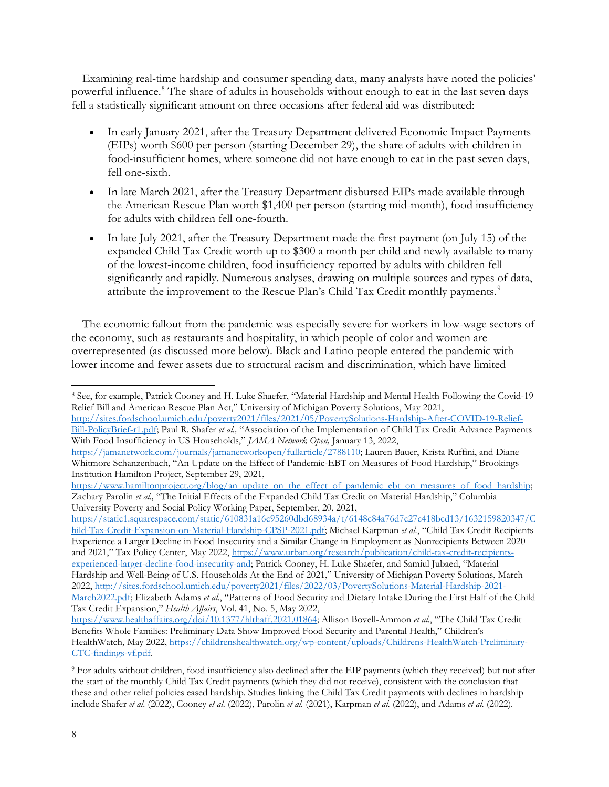Examining real-time hardship and consumer spending data, many analysts have noted the policies' powerful influence.<sup>[8](#page-7-0)</sup> The share of adults in households without enough to eat in the last seven days fell a statistically significant amount on three occasions after federal aid was distributed:

- In early January 2021, after the Treasury Department delivered Economic Impact Payments (EIPs) worth \$600 per person (starting December 29), the share of adults with children in food-insufficient homes, where someone did not have enough to eat in the past seven days, fell one-sixth.
- In late March 2021, after the Treasury Department disbursed EIPs made available through the American Rescue Plan worth \$1,400 per person (starting mid-month), food insufficiency for adults with children fell one-fourth.
- In late July 2021, after the Treasury Department made the first payment (on July 15) of the expanded Child Tax Credit worth up to \$300 a month per child and newly available to many of the lowest-income children, food insufficiency reported by adults with children fell significantly and rapidly. Numerous analyses, drawing on multiple sources and types of data, attribute the improvement to the Rescue Plan's Child Tax Credit monthly payments.<sup>[9](#page-7-1)</sup>

The economic fallout from the pandemic was especially severe for workers in low-wage sectors of the economy, such as restaurants and hospitality, in which people of color and women are overrepresented (as discussed more below). Black and Latino people entered the pandemic with lower income and fewer assets due to structural racism and discrimination, which have limited

[Bill-PolicyBrief-r1.pdf;](http://sites.fordschool.umich.edu/poverty2021/files/2021/05/PovertySolutions-Hardship-After-COVID-19-Relief-Bill-PolicyBrief-r1.pdf) Paul R. Shafer *et al.,* "Association of the Implementation of Child Tax Credit Advance Payments With Food Insufficiency in US Households," *JAMA Network Open,* January 13, 2022,

[https://static1.squarespace.com/static/610831a16c95260dbd68934a/t/6148c84a76d7c27c418bcd13/1632159820347/C](https://static1.squarespace.com/static/610831a16c95260dbd68934a/t/6148c84a76d7c27c418bcd13/1632159820347/Child-Tax-Credit-Expansion-on-Material-Hardship-CPSP-2021.pdf) [hild-Tax-Credit-Expansion-on-Material-Hardship-CPSP-2021.pdf;](https://static1.squarespace.com/static/610831a16c95260dbd68934a/t/6148c84a76d7c27c418bcd13/1632159820347/Child-Tax-Credit-Expansion-on-Material-Hardship-CPSP-2021.pdf) Michael Karpman *et al.*, "Child Tax Credit Recipients Experience a Larger Decline in Food Insecurity and a Similar Change in Employment as Nonrecipients Between 2020 and 2021," Tax Policy Center, May 2022, [https://www.urban.org/research/publication/child-tax-credit-recipients](https://www.urban.org/research/publication/child-tax-credit-recipients-experienced-larger-decline-food-insecurity-and)[experienced-larger-decline-food-insecurity-and;](https://www.urban.org/research/publication/child-tax-credit-recipients-experienced-larger-decline-food-insecurity-and) Patrick Cooney, H. Luke Shaefer, and Samiul Jubaed, "Material Hardship and Well-Being of U.S. Households At the End of 2021," University of Michigan Poverty Solutions, March 2022, [http://sites.fordschool.umich.edu/poverty2021/files/2022/03/PovertySolutions-Material-Hardship-2021-](http://sites.fordschool.umich.edu/poverty2021/files/2022/03/PovertySolutions-Material-Hardship-2021-March2022.pdf) [March2022.pdf;](http://sites.fordschool.umich.edu/poverty2021/files/2022/03/PovertySolutions-Material-Hardship-2021-March2022.pdf) Elizabeth Adams *et al*., "Patterns of Food Security and Dietary Intake During the First Half of the Child Tax Credit Expansion," *Health Affairs*, Vol. 41, No. 5, May 2022,

<span id="page-7-0"></span><sup>8</sup> See, for example, Patrick Cooney and H. Luke Shaefer, "Material Hardship and Mental Health Following the Covid-19 Relief Bill and American Rescue Plan Act," University of Michigan Poverty Solutions, May 2021, [http://sites.fordschool.umich.edu/poverty2021/files/2021/05/PovertySolutions-Hardship-After-COVID-19-Relief-](http://sites.fordschool.umich.edu/poverty2021/files/2021/05/PovertySolutions-Hardship-After-COVID-19-Relief-Bill-PolicyBrief-r1.pdf)

[https://jamanetwork.com/journals/jamanetworkopen/fullarticle/2788110;](https://jamanetwork.com/journals/jamanetworkopen/fullarticle/2788110) Lauren Bauer, Krista Ruffini, and Diane Whitmore Schanzenbach, "An Update on the Effect of Pandemic-EBT on Measures of Food Hardship," Brookings Institution Hamilton Project, September 29, 2021,

https://www.hamiltonproject.org/blog/an\_update\_on\_the\_effect\_of\_pandemic\_ebt\_on\_measures\_of\_food\_hardship; Zachary Parolin *et al.,* "The Initial Effects of the Expanded Child Tax Credit on Material Hardship," Columbia University Poverty and Social Policy Working Paper, September, 20, 2021,

[https://www.healthaffairs.org/doi/10.1377/hlthaff.2021.01864;](https://www.healthaffairs.org/doi/10.1377/hlthaff.2021.01864) Allison Bovell-Ammon *et al.*, "The Child Tax Credit Benefits Whole Families: Preliminary Data Show Improved Food Security and Parental Health," Children's HealthWatch, May 2022, [https://childrenshealthwatch.org/wp-content/uploads/Childrens-HealthWatch-Preliminary-](https://childrenshealthwatch.org/wp-content/uploads/Childrens-HealthWatch-Preliminary-CTC-findings-vf.pdf)[CTC-findings-vf.pdf.](https://childrenshealthwatch.org/wp-content/uploads/Childrens-HealthWatch-Preliminary-CTC-findings-vf.pdf) 

<span id="page-7-1"></span><sup>9</sup> For adults without children, food insufficiency also declined after the EIP payments (which they received) but not after the start of the monthly Child Tax Credit payments (which they did not receive), consistent with the conclusion that these and other relief policies eased hardship. Studies linking the Child Tax Credit payments with declines in hardship include Shafer *et al.* (2022), Cooney *et al.* (2022), Parolin *et al.* (2021), Karpman *et al.* (2022), and Adams *et al.* (2022).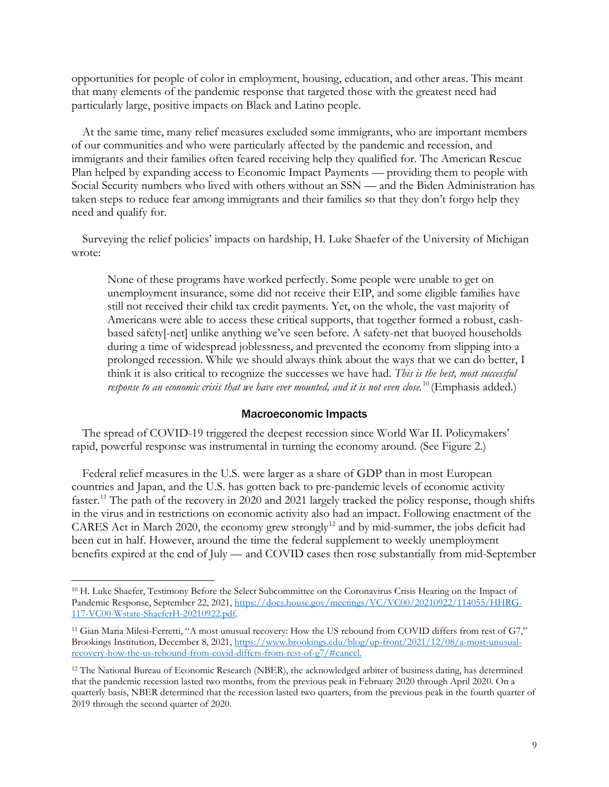opportunities for people of color in employment, housing, education, and other areas. This meant that many elements of the pandemic response that targeted those with the greatest need had particularly large, positive impacts on Black and Latino people.

At the same time, many relief measures excluded some immigrants, who are important members of our communities and who were particularly affected by the pandemic and recession, and immigrants and their families often feared receiving help they qualified for. The American Rescue Plan helped by expanding access to Economic Impact Payments — providing them to people with Social Security numbers who lived with others without an SSN — and the Biden Administration has taken steps to reduce fear among immigrants and their families so that they don't forgo help they need and qualify for.

Surveying the relief policies' impacts on hardship, H. Luke Shaefer of the University of Michigan wrote:

None of these programs have worked perfectly. Some people were unable to get on unemployment insurance, some did not receive their EIP, and some eligible families have still not received their child tax credit payments. Yet, on the whole, the vast majority of Americans were able to access these critical supports, that together formed a robust, cashbased safety[-net] unlike anything we've seen before. A safety-net that buoyed households during a time of widespread joblessness, and prevented the economy from slipping into a prolonged recession. While we should always think about the ways that we can do better, I think it is also critical to recognize the successes we have had. *This is the best, most successful response to an economic crisis that we have ever mounted, and it is not even close.* [10](#page-8-0) (Emphasis added.)

#### Macroeconomic Impacts

The spread of COVID-19 triggered the deepest recession since World War II. Policymakers' rapid, powerful response was instrumental in turning the economy around. (See Figure 2.)

Federal relief measures in the U.S. were larger as a share of GDP than in most European countries and Japan, and the U.S. has gotten back to pre-pandemic levels of economic activity faster.[11](#page-8-1) The path of the recovery in 2020 and 2021 largely tracked the policy response, though shifts in the virus and in restrictions on economic activity also had an impact. Following enactment of the CARES Act in March 2020, the economy grew strongly<sup>[12](#page-8-2)</sup> and by mid-summer, the jobs deficit had been cut in half. However, around the time the federal supplement to weekly unemployment benefits expired at the end of July — and COVID cases then rose substantially from mid-September

<span id="page-8-0"></span><sup>&</sup>lt;sup>10</sup> H. Luke Shaefer, Testimony Before the Select Subcommittee on the Coronavirus Crisis Hearing on the Impact of Pandemic Response, September 22, 2021, [https://docs.house.gov/meetings/VC/VC00/20210922/114055/HHRG-](https://docs.house.gov/meetings/VC/VC00/20210922/114055/HHRG-117-VC00-Wstate-ShaeferH-20210922.pdf)[117-VC00-Wstate-ShaeferH-20210922.pdf.](https://docs.house.gov/meetings/VC/VC00/20210922/114055/HHRG-117-VC00-Wstate-ShaeferH-20210922.pdf)

<span id="page-8-1"></span><sup>11</sup> Gian Maria Milesi-Ferretti, "A most unusual recovery: How the US rebound from COVID differs from rest of G7," Brookings Institution, December 8, 2021[, https://www.brookings.edu/blog/up-front/2021/12/08/a-most-unusual](https://www.brookings.edu/blog/up-front/2021/12/08/a-most-unusual-recovery-how-the-us-rebound-from-covid-differs-from-rest-of-g7/#cancel)[recovery-how-the-us-rebound-from-covid-differs-from-rest-of-g7/#cancel.](https://www.brookings.edu/blog/up-front/2021/12/08/a-most-unusual-recovery-how-the-us-rebound-from-covid-differs-from-rest-of-g7/#cancel) 

<span id="page-8-2"></span><sup>12</sup> The National Bureau of Economic Research (NBER), the acknowledged arbiter of business dating, has determined that the pandemic recession lasted two months, from the previous peak in February 2020 through April 2020. On a quarterly basis, NBER determined that the recession lasted two quarters, from the previous peak in the fourth quarter of 2019 through the second quarter of 2020.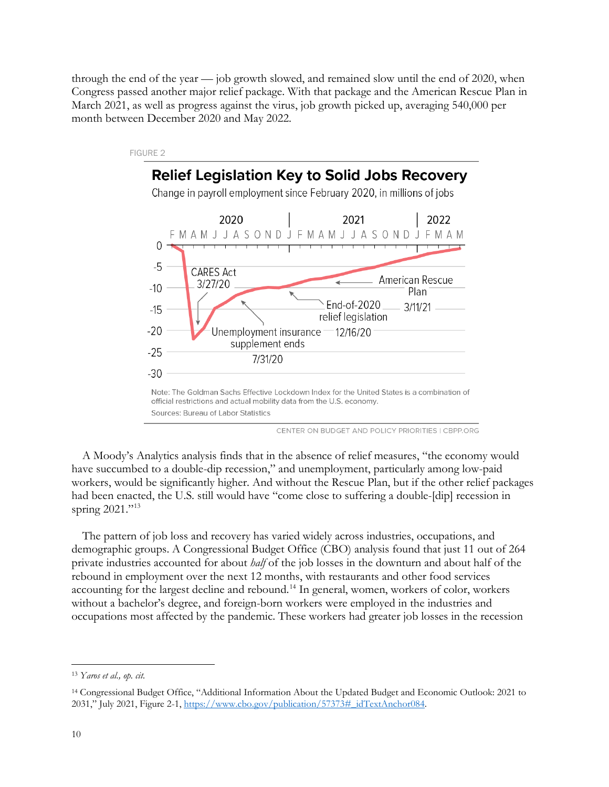through the end of the year — job growth slowed, and remained slow until the end of 2020, when Congress passed another major relief package. With that package and the American Rescue Plan in March 2021, as well as progress against the virus, job growth picked up, averaging 540,000 per month between December 2020 and May 2022.



CENTER ON BUDGET AND POLICY PRIORITIES | CBPP.ORG

A Moody's Analytics analysis finds that in the absence of relief measures, "the economy would have succumbed to a double-dip recession," and unemployment, particularly among low-paid workers, would be significantly higher. And without the Rescue Plan, but if the other relief packages had been enacted, the U.S. still would have "come close to suffering a double-[dip] recession in spring 2021."<sup>[13](#page-9-0)</sup>

The pattern of job loss and recovery has varied widely across industries, occupations, and demographic groups. A Congressional Budget Office (CBO) analysis found that just 11 out of 264 private industries accounted for about *half* of the job losses in the downturn and about half of the rebound in employment over the next 12 months, with restaurants and other food services accounting for the largest decline and rebound.<sup>[14](#page-9-1)</sup> In general, women, workers of color, workers without a bachelor's degree, and foreign-born workers were employed in the industries and occupations most affected by the pandemic. These workers had greater job losses in the recession

<span id="page-9-0"></span><sup>13</sup> *Yaros et al., op. cit.*

<span id="page-9-1"></span><sup>14</sup> Congressional Budget Office, "Additional Information About the Updated Budget and Economic Outlook: 2021 to 2031," July 2021, Figure 2-1, [https://www.cbo.gov/publication/57373#\\_idTextAnchor084.](https://www.cbo.gov/publication/57373#_idTextAnchor084)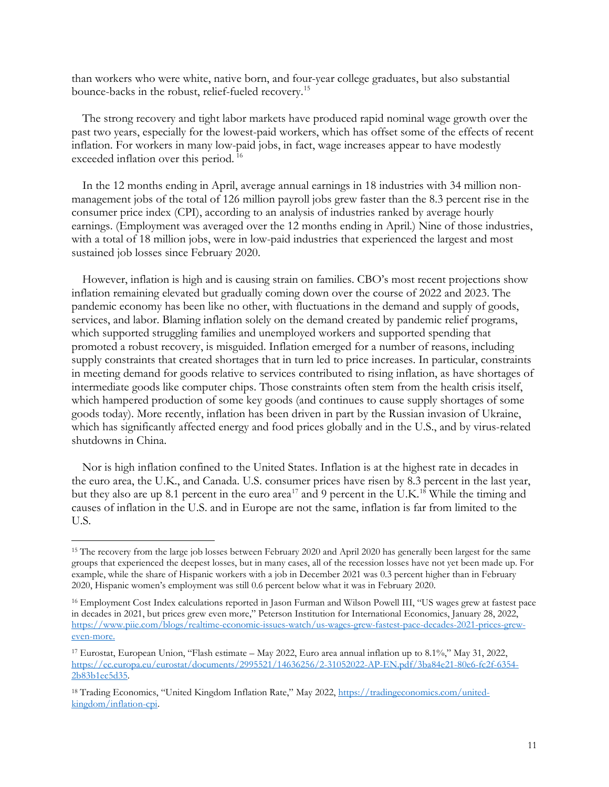than workers who were white, native born, and four-year college graduates, but also substantial bounce-backs in the robust, relief-fueled recovery.[15](#page-10-0)

The strong recovery and tight labor markets have produced rapid nominal wage growth over the past two years, especially for the lowest-paid workers, which has offset some of the effects of recent inflation. For workers in many low-paid jobs, in fact, wage increases appear to have modestly exceeded inflation over this period. [16](#page-10-1)

In the 12 months ending in April, average annual earnings in 18 industries with 34 million nonmanagement jobs of the total of 126 million payroll jobs grew faster than the 8.3 percent rise in the consumer price index (CPI), according to an analysis of industries ranked by average hourly earnings. (Employment was averaged over the 12 months ending in April.) Nine of those industries, with a total of 18 million jobs, were in low-paid industries that experienced the largest and most sustained job losses since February 2020.

However, inflation is high and is causing strain on families. CBO's most recent projections show inflation remaining elevated but gradually coming down over the course of 2022 and 2023. The pandemic economy has been like no other, with fluctuations in the demand and supply of goods, services, and labor. Blaming inflation solely on the demand created by pandemic relief programs, which supported struggling families and unemployed workers and supported spending that promoted a robust recovery, is misguided. Inflation emerged for a number of reasons, including supply constraints that created shortages that in turn led to price increases. In particular, constraints in meeting demand for goods relative to services contributed to rising inflation, as have shortages of intermediate goods like computer chips. Those constraints often stem from the health crisis itself, which hampered production of some key goods (and continues to cause supply shortages of some goods today). More recently, inflation has been driven in part by the Russian invasion of Ukraine, which has significantly affected energy and food prices globally and in the U.S., and by virus-related shutdowns in China.

Nor is high inflation confined to the United States. Inflation is at the highest rate in decades in the euro area, the U.K., and Canada. U.S. consumer prices have risen by 8.3 percent in the last year, but they also are up 8.1 percent in the euro area<sup>[17](#page-10-2)</sup> and 9 percent in the U.K.<sup>18</sup> While the timing and causes of inflation in the U.S. and in Europe are not the same, inflation is far from limited to the U.S.

<span id="page-10-0"></span><sup>&</sup>lt;sup>15</sup> The recovery from the large job losses between February 2020 and April 2020 has generally been largest for the same groups that experienced the deepest losses, but in many cases, all of the recession losses have not yet been made up. For example, while the share of Hispanic workers with a job in December 2021 was 0.3 percent higher than in February 2020, Hispanic women's employment was still 0.6 percent below what it was in February 2020.

<span id="page-10-1"></span><sup>16</sup> Employment Cost Index calculations reported in Jason Furman and Wilson Powell III, "US wages grew at fastest pace in decades in 2021, but prices grew even more," Peterson Institution for International Economics, January 28, 2022, [https://www.piie.com/blogs/realtime-economic-issues-watch/us-wages-grew-fastest-pace-decades-2021-prices-grew](https://www.piie.com/blogs/realtime-economic-issues-watch/us-wages-grew-fastest-pace-decades-2021-prices-grew-even-more)[even-more.](https://www.piie.com/blogs/realtime-economic-issues-watch/us-wages-grew-fastest-pace-decades-2021-prices-grew-even-more) 

<span id="page-10-2"></span><sup>17</sup> Eurostat, European Union, "Flash estimate – May 2022, Euro area annual inflation up to 8.1%," May 31, 2022, [https://ec.europa.eu/eurostat/documents/2995521/14636256/2-31052022-AP-EN.pdf/3ba84e21-80e6-fc2f-6354-](https://ec.europa.eu/eurostat/documents/2995521/14636256/2-31052022-AP-EN.pdf/3ba84e21-80e6-fc2f-6354-2b83b1ec5d35) [2b83b1ec5d35.](https://ec.europa.eu/eurostat/documents/2995521/14636256/2-31052022-AP-EN.pdf/3ba84e21-80e6-fc2f-6354-2b83b1ec5d35) 

<span id="page-10-3"></span><sup>&</sup>lt;sup>18</sup> Trading Economics, "United Kingdom Inflation Rate," May 2022, [https://tradingeconomics.com/united](https://tradingeconomics.com/united-kingdom/inflation-cpi)[kingdom/inflation-cpi.](https://tradingeconomics.com/united-kingdom/inflation-cpi)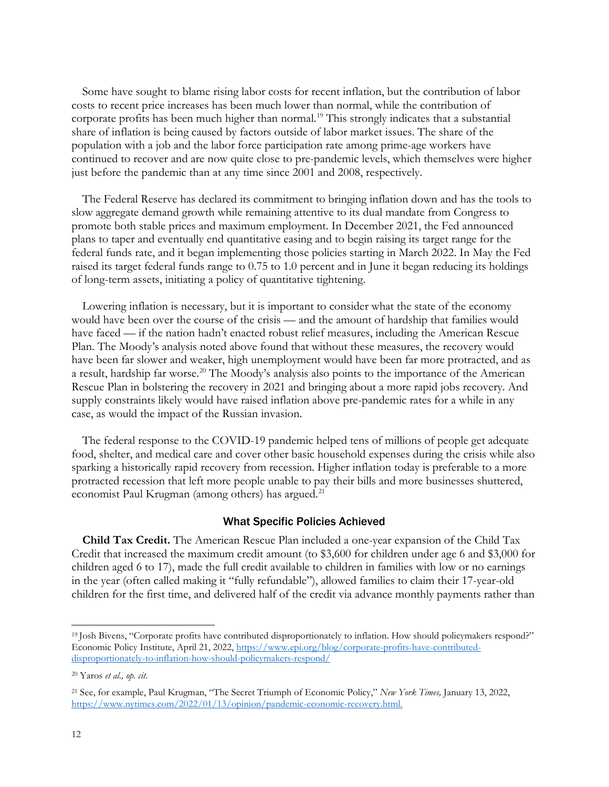Some have sought to blame rising labor costs for recent inflation, but the contribution of labor costs to recent price increases has been much lower than normal, while the contribution of corporate profits has been much higher than normal.<sup>[19](#page-11-0)</sup> This strongly indicates that a substantial share of inflation is being caused by factors outside of labor market issues. The share of the population with a job and the labor force participation rate among prime-age workers have continued to recover and are now quite close to pre-pandemic levels, which themselves were higher just before the pandemic than at any time since 2001 and 2008, respectively.

The Federal Reserve has declared its commitment to bringing inflation down and has the tools to slow aggregate demand growth while remaining attentive to its dual mandate from Congress to promote both stable prices and maximum employment. In December 2021, the Fed announced plans to taper and eventually end quantitative easing and to begin raising its target range for the federal funds rate, and it began implementing those policies starting in March 2022. In May the Fed raised its target federal funds range to 0.75 to 1.0 percent and in June it began reducing its holdings of long-term assets, initiating a policy of quantitative tightening.

Lowering inflation is necessary, but it is important to consider what the state of the economy would have been over the course of the crisis — and the amount of hardship that families would have faced — if the nation hadn't enacted robust relief measures, including the American Rescue Plan. The Moody's analysis noted above found that without these measures, the recovery would have been far slower and weaker, high unemployment would have been far more protracted, and as a result, hardship far worse.<sup>[20](#page-11-1)</sup> The Moody's analysis also points to the importance of the American Rescue Plan in bolstering the recovery in 2021 and bringing about a more rapid jobs recovery. And supply constraints likely would have raised inflation above pre-pandemic rates for a while in any case, as would the impact of the Russian invasion.

The federal response to the COVID-19 pandemic helped tens of millions of people get adequate food, shelter, and medical care and cover other basic household expenses during the crisis while also sparking a historically rapid recovery from recession. Higher inflation today is preferable to a more protracted recession that left more people unable to pay their bills and more businesses shuttered, economist Paul Krugman (among others) has argued.<sup>21</sup>

#### What Specific Policies Achieved

**Child Tax Credit.** The American Rescue Plan included a one-year expansion of the Child Tax Credit that increased the maximum credit amount (to \$3,600 for children under age 6 and \$3,000 for children aged 6 to 17), made the full credit available to children in families with low or no earnings in the year (often called making it "fully refundable"), allowed families to claim their 17-year-old children for the first time, and delivered half of the credit via advance monthly payments rather than

<span id="page-11-0"></span><sup>19</sup> Josh Bivens, "Corporate profits have contributed disproportionately to inflation. How should policymakers respond?" Economic Policy Institute, April 21, 2022[, https://www.epi.org/blog/corporate-profits-have-contributed](https://www.epi.org/blog/corporate-profits-have-contributed-disproportionately-to-inflation-how-should-policymakers-respond/)[disproportionately-to-inflation-how-should-policymakers-respond/](https://www.epi.org/blog/corporate-profits-have-contributed-disproportionately-to-inflation-how-should-policymakers-respond/) 

<span id="page-11-1"></span><sup>20</sup> Yaros *et al., op. cit.*

<span id="page-11-2"></span><sup>21</sup> See, for example, Paul Krugman, "The Secret Triumph of Economic Policy," *New York Times,* January 13, 2022, [https://www.nytimes.com/2022/01/13/opinion/pandemic-economic-recovery.html.](https://www.nytimes.com/2022/01/13/opinion/pandemic-economic-recovery.html)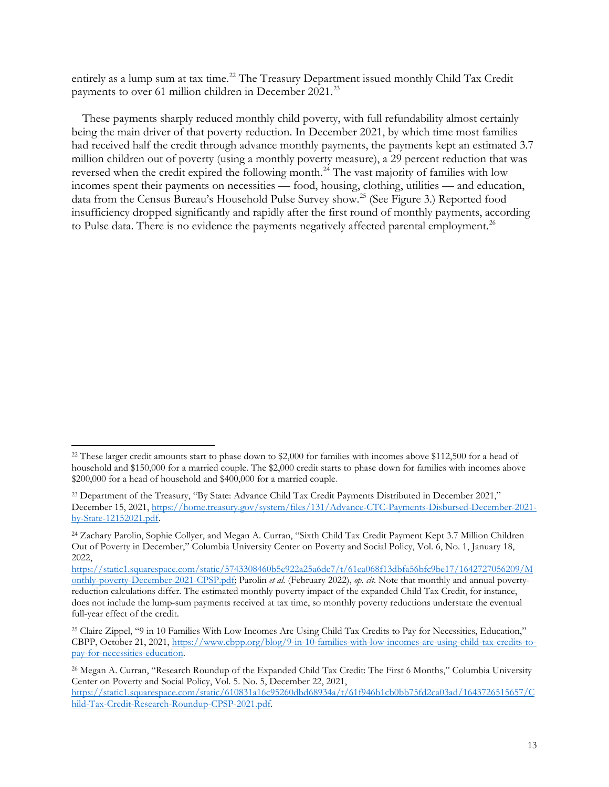entirely as a lump sum at tax time.<sup>[22](#page-12-0)</sup> The Treasury Department issued monthly Child Tax Credit payments to over 61 million children in December 2021.<sup>23</sup>

These payments sharply reduced monthly child poverty, with full refundability almost certainly being the main driver of that poverty reduction. In December 2021, by which time most families had received half the credit through advance monthly payments, the payments kept an estimated 3.7 million children out of poverty (using a monthly poverty measure), a 29 percent reduction that was reversed when the credit expired the following month.<sup>[24](#page-12-2)</sup> The vast majority of families with low incomes spent their payments on necessities — food, housing, clothing, utilities — and education, data from the Census Bureau's Household Pulse Survey show.<sup>[25](#page-12-3)</sup> (See Figure 3.) Reported food insufficiency dropped significantly and rapidly after the first round of monthly payments, according to Pulse data. There is no evidence the payments negatively affected parental employment.<sup>[26](#page-12-4)</sup>

<span id="page-12-0"></span><sup>&</sup>lt;sup>22</sup> These larger credit amounts start to phase down to \$2,000 for families with incomes above \$112,500 for a head of household and \$150,000 for a married couple. The \$2,000 credit starts to phase down for families with incomes above \$200,000 for a head of household and \$400,000 for a married couple.

<span id="page-12-1"></span><sup>&</sup>lt;sup>23</sup> Department of the Treasury, "By State: Advance Child Tax Credit Payments Distributed in December 2021," December 15, 2021[, https://home.treasury.gov/system/files/131/Advance-CTC-Payments-Disbursed-December-2021](https://home.treasury.gov/system/files/131/Advance-CTC-Payments-Disbursed-December-2021-by-State-12152021.pdf) [by-State-12152021.pdf.](https://home.treasury.gov/system/files/131/Advance-CTC-Payments-Disbursed-December-2021-by-State-12152021.pdf) 

<span id="page-12-2"></span><sup>24</sup> Zachary Parolin, Sophie Collyer, and Megan A. Curran, "Sixth Child Tax Credit Payment Kept 3.7 Million Children Out of Poverty in December," Columbia University Center on Poverty and Social Policy, Vol. 6, No. 1, January 18, 2022,

[https://static1.squarespace.com/static/5743308460b5e922a25a6dc7/t/61ea068f13dbfa56bfc9be17/1642727056209/M](https://static1.squarespace.com/static/5743308460b5e922a25a6dc7/t/61ea068f13dbfa56bfc9be17/1642727056209/Monthly-poverty-December-2021-CPSP.pdf) [onthly-poverty-December-2021-CPSP.pdf;](https://static1.squarespace.com/static/5743308460b5e922a25a6dc7/t/61ea068f13dbfa56bfc9be17/1642727056209/Monthly-poverty-December-2021-CPSP.pdf) Parolin *et al.* (February 2022), *op. cit*. Note that monthly and annual povertyreduction calculations differ. The estimated monthly poverty impact of the expanded Child Tax Credit, for instance, does not include the lump-sum payments received at tax time, so monthly poverty reductions understate the eventual full-year effect of the credit.

<span id="page-12-3"></span><sup>25</sup> Claire Zippel, "9 in 10 Families With Low Incomes Are Using Child Tax Credits to Pay for Necessities, Education," CBPP, October 21, 2021, [https://www.cbpp.org/blog/9-in-10-families-with-low-incomes-are-using-child-tax-credits-to](https://www.cbpp.org/blog/9-in-10-families-with-low-incomes-are-using-child-tax-credits-to-pay-for-necessities-education)[pay-for-necessities-education.](https://www.cbpp.org/blog/9-in-10-families-with-low-incomes-are-using-child-tax-credits-to-pay-for-necessities-education) 

<span id="page-12-4"></span><sup>26</sup> Megan A. Curran, "Research Roundup of the Expanded Child Tax Credit: The First 6 Months," Columbia University Center on Poverty and Social Policy, Vol. 5. No. 5, December 22, 2021, [https://static1.squarespace.com/static/610831a16c95260dbd68934a/t/61f946b1cb0bb75fd2ca03ad/1643726515657/C](https://static1.squarespace.com/static/610831a16c95260dbd68934a/t/61f946b1cb0bb75fd2ca03ad/1643726515657/Child-Tax-Credit-Research-Roundup-CPSP-2021.pdf) [hild-Tax-Credit-Research-Roundup-CPSP-2021.pdf.](https://static1.squarespace.com/static/610831a16c95260dbd68934a/t/61f946b1cb0bb75fd2ca03ad/1643726515657/Child-Tax-Credit-Research-Roundup-CPSP-2021.pdf)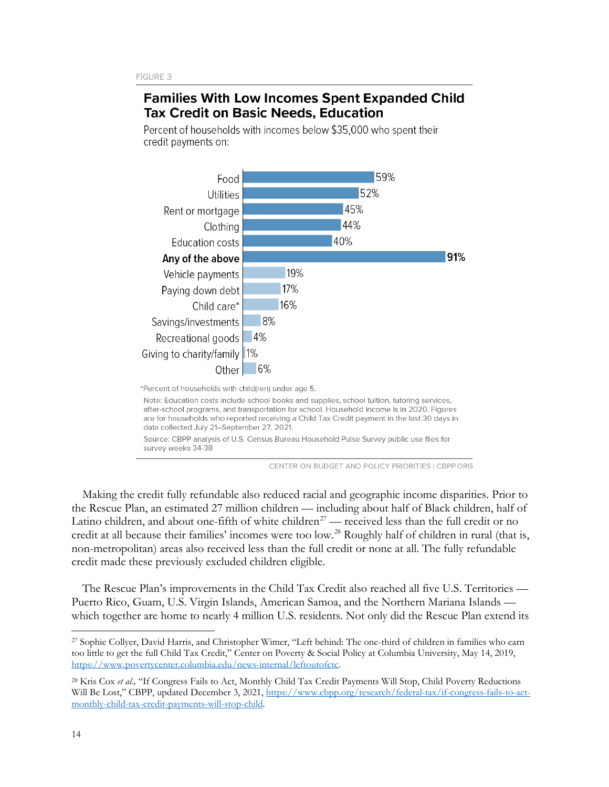## **Families With Low Incomes Spent Expanded Child Tax Credit on Basic Needs, Education**

Percent of households with incomes below \$35,000 who spent their credit payments on:



Source: CBPP analysis of U.S. Census Bureau Household Pulse Survey public use files for survey weeks 34-38

CENTER ON BUDGET AND POLICY PRIORITIES | CBPP.ORG

Making the credit fully refundable also reduced racial and geographic income disparities. Prior to the Rescue Plan, an estimated 27 million children — including about half of Black children, half of Latino children, and about one-fifth of white children<sup>[27](#page-13-0)</sup> — received less than the full credit or no credit at all because their families' incomes were too low.<sup>28</sup> Roughly half of children in rural (that is, non-metropolitan) areas also received less than the full credit or none at all. The fully refundable credit made these previously excluded children eligible.

The Rescue Plan's improvements in the Child Tax Credit also reached all five U.S. Territories — Puerto Rico, Guam, U.S. Virgin Islands, American Samoa, and the Northern Mariana Islands which together are home to nearly 4 million U.S. residents. Not only did the Rescue Plan extend its

<span id="page-13-0"></span><sup>27</sup> Sophie Collyer, David Harris, and Christopher Wimer, "Left behind: The one-third of children in families who earn too little to get the full Child Tax Credit," Center on Poverty & Social Policy at Columbia University, May 14, 2019, [https://www.povertycenter.columbia.edu/news-internal/leftoutofctc.](https://www.povertycenter.columbia.edu/news-internal/leftoutofctc) 

<span id="page-13-1"></span><sup>&</sup>lt;sup>28</sup> Kris Cox et al., "If Congress Fails to Act, Monthly Child Tax Credit Payments Will Stop, Child Poverty Reductions Will Be Lost," CBPP, updated December 3, 2021, [https://www.cbpp.org/research/federal-tax/if-congress-fails-to-act](https://www.cbpp.org/research/federal-tax/if-congress-fails-to-act-monthly-child-tax-credit-payments-will-stop-child)[monthly-child-tax-credit-payments-will-stop-child](https://www.cbpp.org/research/federal-tax/if-congress-fails-to-act-monthly-child-tax-credit-payments-will-stop-child)*.*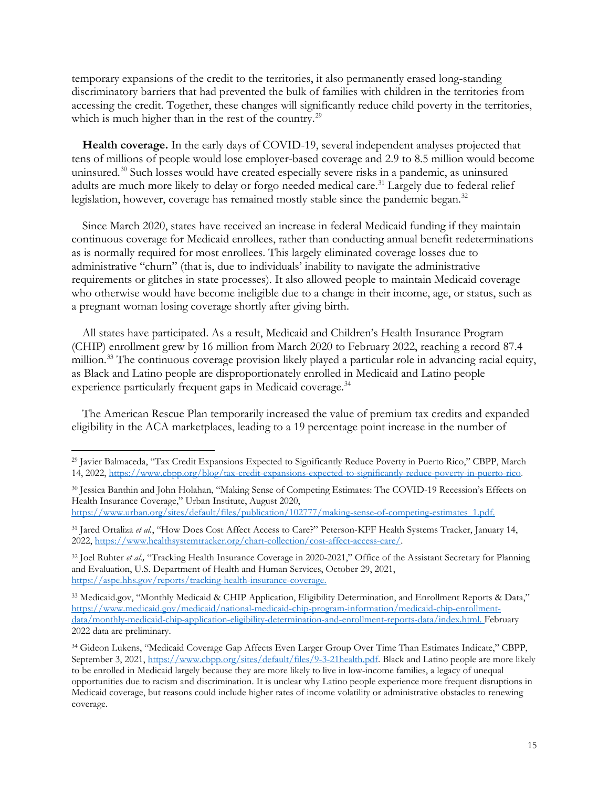temporary expansions of the credit to the territories, it also permanently erased long-standing discriminatory barriers that had prevented the bulk of families with children in the territories from accessing the credit. Together, these changes will significantly reduce child poverty in the territories, which is much higher than in the rest of the country.<sup>29</sup>

**Health coverage.** In the early days of COVID-19, several independent analyses projected that tens of millions of people would lose employer-based coverage and 2.9 to 8.5 million would become uninsured.<sup>30</sup> Such losses would have created especially severe risks in a pandemic, as uninsured adults are much more likely to delay or forgo needed medical care.<sup>31</sup> Largely due to federal relief legislation, however, coverage has remained mostly stable since the pandemic began.<sup>32</sup>

Since March 2020, states have received an increase in federal Medicaid funding if they maintain continuous coverage for Medicaid enrollees, rather than conducting annual benefit redeterminations as is normally required for most enrollees. This largely eliminated coverage losses due to administrative "churn" (that is, due to individuals' inability to navigate the administrative requirements or glitches in state processes). It also allowed people to maintain Medicaid coverage who otherwise would have become ineligible due to a change in their income, age, or status, such as a pregnant woman losing coverage shortly after giving birth.

All states have participated. As a result, Medicaid and Children's Health Insurance Program (CHIP) enrollment grew by 16 million from March 2020 to February 2022, reaching a record 87.4 million.<sup>[33](#page-14-4)</sup> The continuous coverage provision likely played a particular role in advancing racial equity, as Black and Latino people are disproportionately enrolled in Medicaid and Latino people experience particularly frequent gaps in Medicaid coverage. [34](#page-14-5) 

The American Rescue Plan temporarily increased the value of premium tax credits and expanded eligibility in the ACA marketplaces, leading to a 19 percentage point increase in the number of

<span id="page-14-0"></span><sup>29</sup> Javier Balmaceda, "Tax Credit Expansions Expected to Significantly Reduce Poverty in Puerto Rico," CBPP, March 14, 2022, [https://www.cbpp.org/blog/tax-credit-expansions-expected-to-significantly-reduce-poverty-in-puerto-rico.](https://www.cbpp.org/blog/tax-credit-expansions-expected-to-significantly-reduce-poverty-in-puerto-rico)

<span id="page-14-1"></span><sup>30</sup> Jessica Banthin and John Holahan, "Making Sense of Competing Estimates: The COVID-19 Recession's Effects on Health Insurance Coverage," Urban Institute, August 2020,

[https://www.urban.org/sites/default/files/publication/102777/making-sense-of-competing-estimates\\_1.pdf.](https://www.urban.org/sites/default/files/publication/102777/making-sense-of-competing-estimates_1.pdf) 

<span id="page-14-2"></span><sup>&</sup>lt;sup>31</sup> Jared Ortaliza et al., "How Does Cost Affect Access to Care?" Peterson-KFF Health Systems Tracker, January 14, 2022, [https://www.healthsystemtracker.org/chart-collection/cost-affect-access-care/.](https://www.healthsystemtracker.org/chart-collection/cost-affect-access-care/)

<span id="page-14-3"></span><sup>&</sup>lt;sup>32</sup> Joel Ruhter *et al.*, "Tracking Health Insurance Coverage in 2020-2021," Office of the Assistant Secretary for Planning and Evaluation, U.S. Department of Health and Human Services, October 29, 2021, [https://aspe.hhs.gov/reports/tracking-health-insurance-coverage.](https://aspe.hhs.gov/reports/tracking-health-insurance-coverage)

<span id="page-14-4"></span><sup>33</sup> Medicaid.gov, "Monthly Medicaid & CHIP Application, Eligibility Determination, and Enrollment Reports & Data," [https://www.medicaid.gov/medicaid/national-medicaid-chip-program-information/medicaid-chip-enrollment](https://www.medicaid.gov/medicaid/national-medicaid-chip-program-information/medicaid-chip-enrollment-data/monthly-medicaid-chip-application-eligibility-determination-and-enrollment-reports-data/index.html)[data/monthly-medicaid-chip-application-eligibility-determination-and-enrollment-reports-data/index.html.](https://www.medicaid.gov/medicaid/national-medicaid-chip-program-information/medicaid-chip-enrollment-data/monthly-medicaid-chip-application-eligibility-determination-and-enrollment-reports-data/index.html) February 2022 data are preliminary.

<span id="page-14-5"></span><sup>34</sup> Gideon Lukens, "Medicaid Coverage Gap Affects Even Larger Group Over Time Than Estimates Indicate," CBPP, September 3, 2021, [https://www.cbpp.org/sites/default/files/9-3-21health.pdf.](https://www.cbpp.org/sites/default/files/9-3-21health.pdf) Black and Latino people are more likely to be enrolled in Medicaid largely because they are more likely to live in low-income families, a legacy of unequal opportunities due to racism and discrimination. It is unclear why Latino people experience more frequent disruptions in Medicaid coverage, but reasons could include higher rates of income volatility or administrative obstacles to renewing coverage.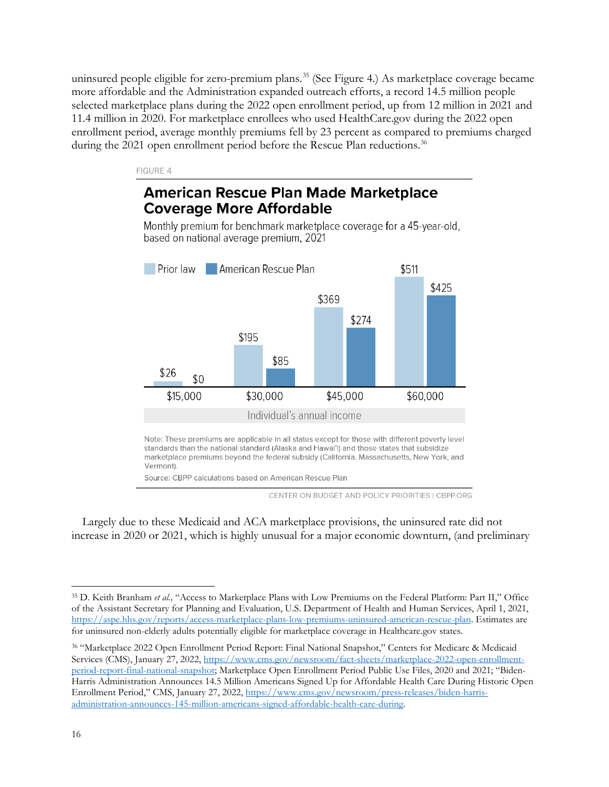uninsured people eligible for zero-premium plans.<sup>[35](#page-15-0)</sup> (See Figure 4.) As marketplace coverage became more affordable and the Administration expanded outreach efforts, a record 14.5 million people selected marketplace plans during the 2022 open enrollment period, up from 12 million in 2021 and 11.4 million in 2020. For marketplace enrollees who used HealthCare.gov during the 2022 open enrollment period, average monthly premiums fell by 23 percent as compared to premiums charged during the 2021 open enrollment period before the Rescue Plan reductions.<sup>[36](#page-15-1)</sup>

#### FIGURE 4

# **American Rescue Plan Made Marketplace Coverage More Affordable**

Monthly premium for benchmark marketplace coverage for a 45-year-old, based on national average premium, 2021



standards than the national standard (Alaska and Hawai'i) and those states that subsidize marketplace premiums beyond the federal subsidy (California, Massachusetts, New York, and Vermont)

Source: CBPP calculations based on American Rescue Plan

CENTER ON BUDGET AND POLICY PRIORITIES | CBPP.ORG

Largely due to these Medicaid and ACA marketplace provisions, the uninsured rate did not increase in 2020 or 2021, which is highly unusual for a major economic downturn, (and preliminary

<span id="page-15-0"></span><sup>35</sup> D. Keith Branham *et al.,* "Access to Marketplace Plans with Low Premiums on the Federal Platform: Part II," Office of the Assistant Secretary for Planning and Evaluation, U.S. Department of Health and Human Services, April 1, 2021, [https://aspe.hhs.gov/reports/access-marketplace-plans-low-premiums-uninsured-american-rescue-plan.](https://aspe.hhs.gov/reports/access-marketplace-plans-low-premiums-uninsured-american-rescue-plan) Estimates are for uninsured non-elderly adults potentially eligible for marketplace coverage in Healthcare.gov states.

<span id="page-15-1"></span><sup>36</sup> "Marketplace 2022 Open Enrollment Period Report: Final National Snapshot," Centers for Medicare & Medicaid Services (CMS), January 27, 2022[, https://www.cms.gov/newsroom/fact-sheets/marketplace-2022-open-enrollment](https://www.cms.gov/newsroom/fact-sheets/marketplace-2022-open-enrollment-period-report-final-national-snapshot)[period-report-final-national-snapshot;](https://www.cms.gov/newsroom/fact-sheets/marketplace-2022-open-enrollment-period-report-final-national-snapshot) Marketplace Open Enrollment Period Public Use Files, 2020 and 2021; "Biden-Harris Administration Announces 14.5 Million Americans Signed Up for Affordable Health Care During Historic Open Enrollment Period," CMS, January 27, 2022, [https://www.cms.gov/newsroom/press-releases/biden-harris](https://www.cms.gov/newsroom/press-releases/biden-harris-administration-announces-145-million-americans-signed-affordable-health-care-during)[administration-announces-145-million-americans-signed-affordable-health-care-during.](https://www.cms.gov/newsroom/press-releases/biden-harris-administration-announces-145-million-americans-signed-affordable-health-care-during)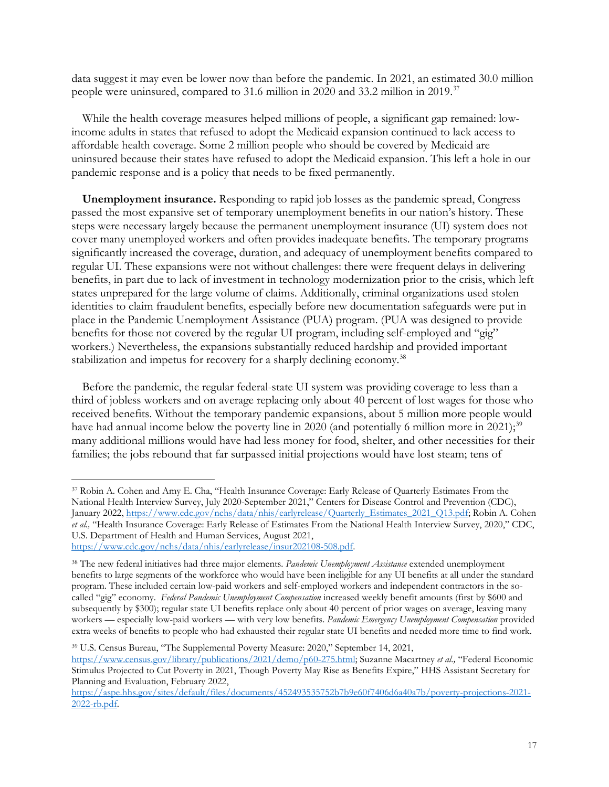data suggest it may even be lower now than before the pandemic. In 2021, an estimated 30.0 million people were uninsured, compared to 31.6 million in 2020 and 33.2 million in 2019.[37](#page-16-0)

While the health coverage measures helped millions of people, a significant gap remained: lowincome adults in states that refused to adopt the Medicaid expansion continued to lack access to affordable health coverage. Some 2 million people who should be covered by Medicaid are uninsured because their states have refused to adopt the Medicaid expansion. This left a hole in our pandemic response and is a policy that needs to be fixed permanently.

**Unemployment insurance.** Responding to rapid job losses as the pandemic spread, Congress passed the most expansive set of temporary unemployment benefits in our nation's history. These steps were necessary largely because the permanent unemployment insurance (UI) system does not cover many unemployed workers and often provides inadequate benefits. The temporary programs significantly increased the coverage, duration, and adequacy of unemployment benefits compared to regular UI. These expansions were not without challenges: there were frequent delays in delivering benefits, in part due to lack of investment in technology modernization prior to the crisis, which left states unprepared for the large volume of claims. Additionally, criminal organizations used stolen identities to claim fraudulent benefits, especially before new documentation safeguards were put in place in the Pandemic Unemployment Assistance (PUA) program. (PUA was designed to provide benefits for those not covered by the regular UI program, including self-employed and "gig" workers.) Nevertheless, the expansions substantially reduced hardship and provided important stabilization and impetus for recovery for a sharply declining economy.<sup>[38](#page-16-1)</sup>

Before the pandemic, the regular federal-state UI system was providing coverage to less than a third of jobless workers and on average replacing only about 40 percent of lost wages for those who received benefits. Without the temporary pandemic expansions, about 5 million more people would have had annual income below the poverty line in 2020 (and potentially 6 million more in 2021);<sup>[39](#page-16-2)</sup> many additional millions would have had less money for food, shelter, and other necessities for their families; the jobs rebound that far surpassed initial projections would have lost steam; tens of

<span id="page-16-2"></span><sup>39</sup> U.S. Census Bureau, "The Supplemental Poverty Measure: 2020," September 14, 2021, [https://www.census.gov/library/publications/2021/demo/p60-275.html;](https://www.census.gov/library/publications/2021/demo/p60-275.html) Suzanne Macartney *et al.,* "Federal Economic Stimulus Projected to Cut Poverty in 2021, Though Poverty May Rise as Benefits Expire," HHS Assistant Secretary for Planning and Evaluation, February 2022,

<span id="page-16-0"></span><sup>37</sup> Robin A. Cohen and Amy E. Cha, "Health Insurance Coverage: Early Release of Quarterly Estimates From the National Health Interview Survey, July 2020-September 2021," Centers for Disease Control and Prevention (CDC), January 2022, [https://www.cdc.gov/nchs/data/nhis/earlyrelease/Quarterly\\_Estimates\\_2021\\_Q13.pdf;](https://www.cdc.gov/nchs/data/nhis/earlyrelease/Quarterly_Estimates_2021_Q13.pdf) Robin A. Cohen *et al.,* "Health Insurance Coverage: Early Release of Estimates From the National Health Interview Survey, 2020," CDC, U.S. Department of Health and Human Services, August 2021, [https://www.cdc.gov/nchs/data/nhis/earlyrelease/insur202108-508.pdf.](https://www.cdc.gov/nchs/data/nhis/earlyrelease/insur202108-508.pdf)

<span id="page-16-1"></span><sup>38</sup> The new federal initiatives had three major elements. *Pandemic Unemployment Assistance* extended unemployment benefits to large segments of the workforce who would have been ineligible for any UI benefits at all under the standard program. These included certain low-paid workers and self-employed workers and independent contractors in the socalled "gig" economy. *Federal Pandemic Unemployment Compensation* increased weekly benefit amounts (first by \$600 and subsequently by \$300); regular state UI benefits replace only about 40 percent of prior wages on average, leaving many workers — especially low-paid workers — with very low benefits. *Pandemic Emergency Unemployment Compensation* provided extra weeks of benefits to people who had exhausted their regular state UI benefits and needed more time to find work.

[https://aspe.hhs.gov/sites/default/files/documents/452493535752b7b9e60f7406d6a40a7b/poverty-projections-2021-](https://aspe.hhs.gov/sites/default/files/documents/452493535752b7b9e60f7406d6a40a7b/poverty-projections-2021-2022-rb.pdf) [2022-rb.pdf.](https://aspe.hhs.gov/sites/default/files/documents/452493535752b7b9e60f7406d6a40a7b/poverty-projections-2021-2022-rb.pdf)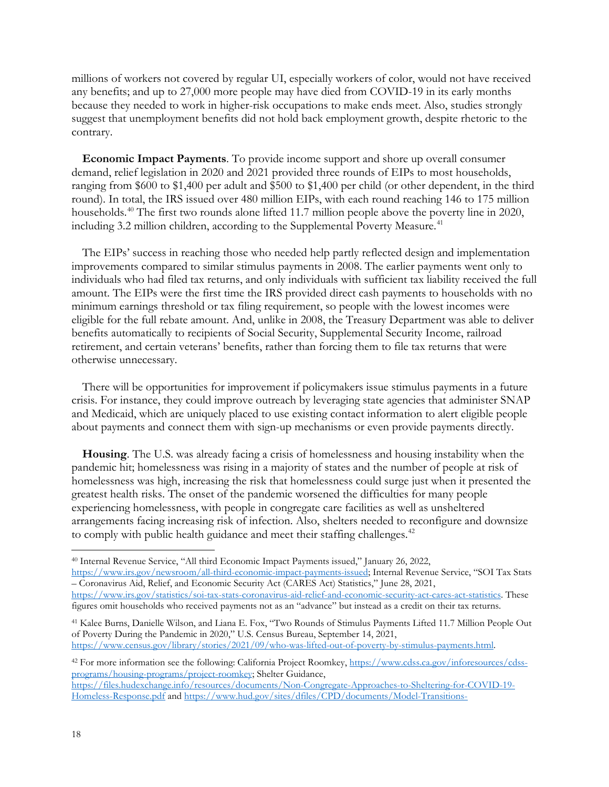millions of workers not covered by regular UI, especially workers of color, would not have received any benefits; and up to 27,000 more people may have died from COVID-19 in its early months because they needed to work in higher-risk occupations to make ends meet. Also, studies strongly suggest that unemployment benefits did not hold back employment growth, despite rhetoric to the contrary.

**Economic Impact Payments**. To provide income support and shore up overall consumer demand, relief legislation in 2020 and 2021 provided three rounds of EIPs to most households, ranging from \$600 to \$1,400 per adult and \$500 to \$1,400 per child (or other dependent, in the third round). In total, the IRS issued over 480 million EIPs, with each round reaching 146 to 175 million households.<sup>40</sup> The first two rounds alone lifted 11.7 million people above the poverty line in 2020, including 3.2 million children, according to the Supplemental Poverty Measure.<sup>41</sup>

The EIPs' success in reaching those who needed help partly reflected design and implementation improvements compared to similar stimulus payments in 2008. The earlier payments went only to individuals who had filed tax returns, and only individuals with sufficient tax liability received the full amount. The EIPs were the first time the IRS provided direct cash payments to households with no minimum earnings threshold or tax filing requirement, so people with the lowest incomes were eligible for the full rebate amount. And, unlike in 2008, the Treasury Department was able to deliver benefits automatically to recipients of Social Security, Supplemental Security Income, railroad retirement, and certain veterans' benefits, rather than forcing them to file tax returns that were otherwise unnecessary.

There will be opportunities for improvement if policymakers issue stimulus payments in a future crisis. For instance, they could improve outreach by leveraging state agencies that administer SNAP and Medicaid, which are uniquely placed to use existing contact information to alert eligible people about payments and connect them with sign-up mechanisms or even provide payments directly.

**Housing**. The U.S. was already facing a crisis of homelessness and housing instability when the pandemic hit; homelessness was rising in a majority of states and the number of people at risk of homelessness was high, increasing the risk that homelessness could surge just when it presented the greatest health risks. The onset of the pandemic worsened the difficulties for many people experiencing homelessness, with people in congregate care facilities as well as unsheltered arrangements facing increasing risk of infection. Also, shelters needed to reconfigure and downsize to comply with public health guidance and meet their staffing challenges.<sup>[42](#page-17-2)</sup>

[https://www.irs.gov/newsroom/all-third-economic-impact-payments-issued;](https://www.irs.gov/newsroom/all-third-economic-impact-payments-issued) Internal Revenue Service, "SOI Tax Stats – Coronavirus Aid, Relief, and Economic Security Act (CARES Act) Statistics," June 28, 2021, [https://www.irs.gov/statistics/soi-tax-stats-coronavirus-aid-relief-and-economic-security-act-cares-act-statistics.](https://www.irs.gov/statistics/soi-tax-stats-coronavirus-aid-relief-and-economic-security-act-cares-act-statistics) These figures omit households who received payments not as an "advance" but instead as a credit on their tax returns.

<span id="page-17-1"></span><sup>41</sup> Kalee Burns, Danielle Wilson, and Liana E. Fox, "Two Rounds of Stimulus Payments Lifted 11.7 Million People Out of Poverty During the Pandemic in 2020," U.S. Census Bureau, September 14, 2021, [https://www.census.gov/library/stories/2021/09/who-was-lifted-out-of-poverty-by-stimulus-payments.html.](https://www.census.gov/library/stories/2021/09/who-was-lifted-out-of-poverty-by-stimulus-payments.html) 

<span id="page-17-2"></span><sup>42</sup> For more information see the following: California Project Roomkey, [https://www.cdss.ca.gov/inforesources/cdss](https://www.cdss.ca.gov/inforesources/cdss-programs/housing-programs/project-roomkey)[programs/housing-programs/project-roomkey;](https://www.cdss.ca.gov/inforesources/cdss-programs/housing-programs/project-roomkey) Shelter Guidance, [https://files.hudexchange.info/resources/documents/Non-Congregate-Approaches-to-Sheltering-for-COVID-19-](https://files.hudexchange.info/resources/documents/Non-Congregate-Approaches-to-Sheltering-for-COVID-19-Homeless-Response.pdf) [Homeless-Response.pdf](https://files.hudexchange.info/resources/documents/Non-Congregate-Approaches-to-Sheltering-for-COVID-19-Homeless-Response.pdf) and [https://www.hud.gov/sites/dfiles/CPD/documents/Model-Transitions-](https://www.hud.gov/sites/dfiles/CPD/documents/Model-Transitions-Document_FINAL.pdf)

<span id="page-17-0"></span><sup>40</sup> Internal Revenue Service, "All third Economic Impact Payments issued," January 26, 2022,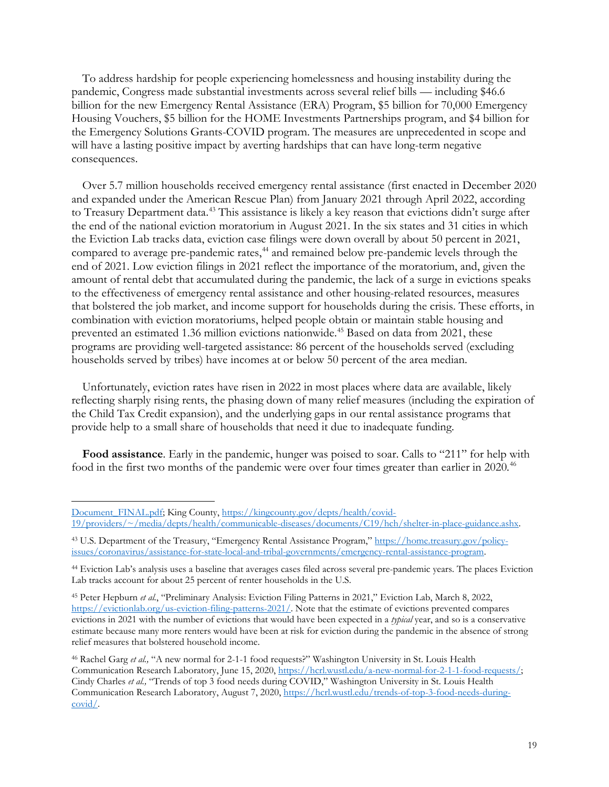To address hardship for people experiencing homelessness and housing instability during the pandemic, Congress made substantial investments across several relief bills — including \$46.6 billion for the new Emergency Rental Assistance (ERA) Program, \$5 billion for 70,000 Emergency Housing Vouchers, \$5 billion for the HOME Investments Partnerships program, and \$4 billion for the Emergency Solutions Grants-COVID program. The measures are unprecedented in scope and will have a lasting positive impact by averting hardships that can have long-term negative consequences.

Over 5.7 million households received emergency rental assistance (first enacted in December 2020 and expanded under the American Rescue Plan) from January 2021 through April 2022, according to Treasury Department data.<sup>43</sup> This assistance is likely a key reason that evictions didn't surge after the end of the national eviction moratorium in August 2021. In the six states and 31 cities in which the Eviction Lab tracks data, eviction case filings were down overall by about 50 percent in 2021, compared to average pre-pandemic rates,<sup>[44](#page-18-1)</sup> and remained below pre-pandemic levels through the end of 2021. Low eviction filings in 2021 reflect the importance of the moratorium, and, given the amount of rental debt that accumulated during the pandemic, the lack of a surge in evictions speaks to the effectiveness of emergency rental assistance and other housing-related resources, measures that bolstered the job market, and income support for households during the crisis. These efforts, in combination with eviction moratoriums, helped people obtain or maintain stable housing and prevented an estimated 1.36 million evictions nationwide.<sup>45</sup> Based on data from 2021, these programs are providing well-targeted assistance: 86 percent of the households served (excluding households served by tribes) have incomes at or below 50 percent of the area median.

Unfortunately, eviction rates have risen in 2022 in most places where data are available, likely reflecting sharply rising rents, the phasing down of many relief measures (including the expiration of the Child Tax Credit expansion), and the underlying gaps in our rental assistance programs that provide help to a small share of households that need it due to inadequate funding.

**Food assistance**. Early in the pandemic, hunger was poised to soar. Calls to "211" for help with food in the first two months of the pandemic were over four times greater than earlier in 2020.<sup>[46](#page-18-3)</sup>

[Document\\_FINAL.pdf;](https://www.hud.gov/sites/dfiles/CPD/documents/Model-Transitions-Document_FINAL.pdf) King County, [https://kingcounty.gov/depts/health/covid-](https://kingcounty.gov/depts/health/covid-19/providers/%7E/media/depts/health/communicable-diseases/documents/C19/hch/shelter-in-place-guidance.ashx)[19/providers/~/media/depts/health/communicable-diseases/documents/C19/hch/shelter-in-place-guidance.ashx.](https://kingcounty.gov/depts/health/covid-19/providers/%7E/media/depts/health/communicable-diseases/documents/C19/hch/shelter-in-place-guidance.ashx) 

<span id="page-18-0"></span><sup>43</sup> U.S. Department of the Treasury, "Emergency Rental Assistance Program," [https://home.treasury.gov/policy](https://home.treasury.gov/policy-issues/coronavirus/assistance-for-state-local-and-tribal-governments/emergency-rental-assistance-program)[issues/coronavirus/assistance-for-state-local-and-tribal-governments/emergency-rental-assistance-program.](https://home.treasury.gov/policy-issues/coronavirus/assistance-for-state-local-and-tribal-governments/emergency-rental-assistance-program) 

<span id="page-18-1"></span><sup>44</sup> Eviction Lab's analysis uses a baseline that averages cases filed across several pre-pandemic years. The places Eviction Lab tracks account for about 25 percent of renter households in the U.S.

<span id="page-18-2"></span><sup>45</sup> Peter Hepburn *et al.*, "Preliminary Analysis: Eviction Filing Patterns in 2021," Eviction Lab, March 8, 2022, [https://evictionlab.org/us-eviction-filing-patterns-2021/.](https://evictionlab.org/us-eviction-filing-patterns-2021/) Note that the estimate of evictions prevented compares evictions in 2021 with the number of evictions that would have been expected in a *typical* year, and so is a conservative estimate because many more renters would have been at risk for eviction during the pandemic in the absence of strong relief measures that bolstered household income.

<span id="page-18-3"></span><sup>46</sup> Rachel Garg *et al.,* "A new normal for 2-1-1 food requests?" Washington University in St. Louis Health Communication Research Laboratory, June 15, 2020, [https://hcrl.wustl.edu/a-new-normal-for-2-1-1-food-requests/;](https://hcrl.wustl.edu/a-new-normal-for-2-1-1-food-requests/)  Cindy Charles *et al.,* "Trends of top 3 food needs during COVID," Washington University in St. Louis Health Communication Research Laboratory, August 7, 2020, [https://hcrl.wustl.edu/trends-of-top-3-food-needs-during](https://hcrl.wustl.edu/trends-of-top-3-food-needs-during-covid/)[covid/.](https://hcrl.wustl.edu/trends-of-top-3-food-needs-during-covid/)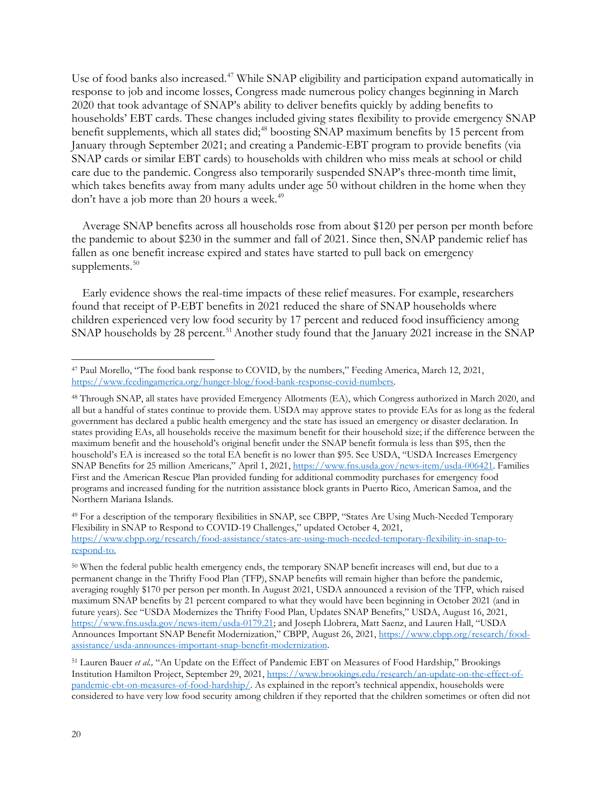Use of food banks also increased.<sup>[47](#page-19-0)</sup> While SNAP eligibility and participation expand automatically in response to job and income losses, Congress made numerous policy changes beginning in March 2020 that took advantage of SNAP's ability to deliver benefits quickly by adding benefits to households' EBT cards. These changes included giving states flexibility to provide emergency SNAP benefit supplements, which all states did;<sup>48</sup> boosting SNAP maximum benefits by 15 percent from January through September 2021; and creating a Pandemic-EBT program to provide benefits (via SNAP cards or similar EBT cards) to households with children who miss meals at school or child care due to the pandemic. Congress also temporarily suspended SNAP's three-month time limit, which takes benefits away from many adults under age 50 without children in the home when they don't have a job more than 20 hours a week.<sup>49</sup>

Average SNAP benefits across all households rose from about \$120 per person per month before the pandemic to about \$230 in the summer and fall of 2021. Since then, SNAP pandemic relief has fallen as one benefit increase expired and states have started to pull back on emergency supplements.<sup>[50](#page-19-3)</sup>

Early evidence shows the real-time impacts of these relief measures. For example, researchers found that receipt of P-EBT benefits in 2021 reduced the share of SNAP households where children experienced very low food security by 17 percent and reduced food insufficiency among SNAP households by 28 percent.<sup>[51](#page-19-4)</sup> Another study found that the January 2021 increase in the SNAP

<span id="page-19-0"></span><sup>47</sup> Paul Morello, "The food bank response to COVID, by the numbers," Feeding America, March 12, 2021, [https://www.feedingamerica.org/hunger-blog/food-bank-response-covid-numbers.](https://www.feedingamerica.org/hunger-blog/food-bank-response-covid-numbers)

<span id="page-19-1"></span><sup>48</sup> Through SNAP, all states have provided Emergency Allotments (EA), which Congress authorized in March 2020, and all but a handful of states continue to provide them. USDA may approve states to provide EAs for as long as the federal government has declared a public health emergency and the state has issued an emergency or disaster declaration. In states providing EAs, all households receive the maximum benefit for their household size; if the difference between the maximum benefit and the household's original benefit under the SNAP benefit formula is less than \$95, then the household's EA is increased so the total EA benefit is no lower than \$95. See USDA, "USDA Increases Emergency SNAP Benefits for 25 million Americans," April 1, 2021[, https://www.fns.usda.gov/news-item/usda-006421.](https://www.fns.usda.gov/news-item/usda-006421) Families First and the American Rescue Plan provided funding for additional commodity purchases for emergency food programs and increased funding for the nutrition assistance block grants in Puerto Rico, American Samoa, and the Northern Mariana Islands.

<span id="page-19-2"></span><sup>49</sup> For a description of the temporary flexibilities in SNAP, see CBPP, "States Are Using Much-Needed Temporary Flexibility in SNAP to Respond to COVID-19 Challenges," updated October 4, 2021, [https://www.cbpp.org/research/food-assistance/states-are-using-much-needed-temporary-flexibility-in-snap-to](https://www.cbpp.org/research/food-assistance/states-are-using-much-needed-temporary-flexibility-in-snap-to-respond-to)[respond-to.](https://www.cbpp.org/research/food-assistance/states-are-using-much-needed-temporary-flexibility-in-snap-to-respond-to) 

<span id="page-19-3"></span><sup>50</sup> When the federal public health emergency ends, the temporary SNAP benefit increases will end, but due to a permanent change in the Thrifty Food Plan (TFP), SNAP benefits will remain higher than before the pandemic, averaging roughly \$170 per person per month. In August 2021, USDA announced a revision of the TFP, which raised maximum SNAP benefits by 21 percent compared to what they would have been beginning in October 2021 (and in future years). See "USDA Modernizes the Thrifty Food Plan, Updates SNAP Benefits," USDA, August 16, 2021, [https://www.fns.usda.gov/news-item/usda-0179.21;](https://www.fns.usda.gov/news-item/usda-0179.21) and Joseph Llobrera, Matt Saenz, and Lauren Hall, "USDA Announces Important SNAP Benefit Modernization," CBPP, August 26, 2021, [https://www.cbpp.org/research/food](https://www.cbpp.org/research/food-assistance/usda-announces-important-snap-benefit-modernization)[assistance/usda-announces-important-snap-benefit-modernization.](https://www.cbpp.org/research/food-assistance/usda-announces-important-snap-benefit-modernization)

<span id="page-19-4"></span><sup>51</sup> Lauren Bauer *et al.,* "An Update on the Effect of Pandemic EBT on Measures of Food Hardship," Brookings Institution Hamilton Project, September 29, 2021, [https://www.brookings.edu/research/an-update-on-the-effect-of](https://www.brookings.edu/research/an-update-on-the-effect-of-pandemic-ebt-on-measures-of-food-hardship/)[pandemic-ebt-on-measures-of-food-hardship/.](https://www.brookings.edu/research/an-update-on-the-effect-of-pandemic-ebt-on-measures-of-food-hardship/) As explained in the report's technical appendix, households were considered to have very low food security among children if they reported that the children sometimes or often did not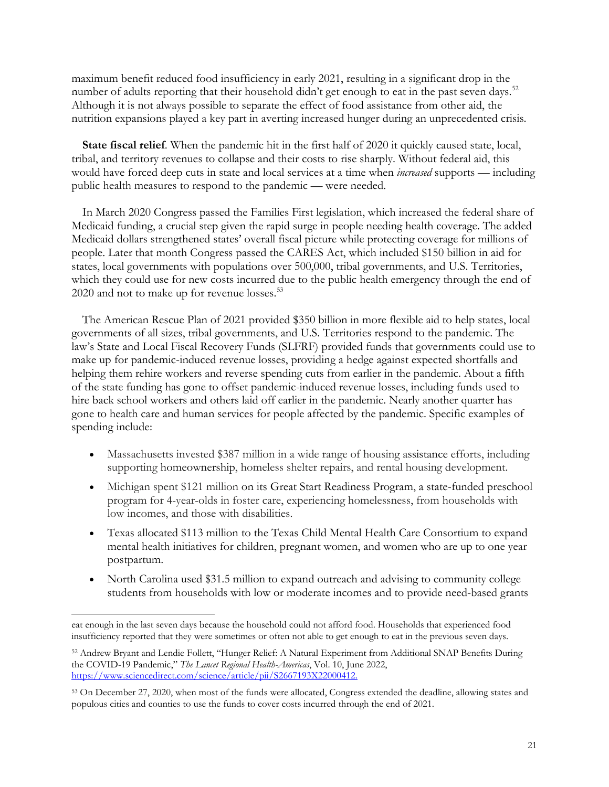maximum benefit reduced food insufficiency in early 2021, resulting in a significant drop in the number of adults reporting that their household didn't get enough to eat in the past seven days.<sup>[52](#page-20-0)</sup> Although it is not always possible to separate the effect of food assistance from other aid, the nutrition expansions played a key part in averting increased hunger during an unprecedented crisis.

**State fiscal relief**. When the pandemic hit in the first half of 2020 it quickly caused state, local, tribal, and territory revenues to collapse and their costs to rise sharply. Without federal aid, this would have forced deep cuts in state and local services at a time when *increased* supports — including public health measures to respond to the pandemic — were needed.

In March 2020 Congress passed the Families First legislation, which increased the federal share of Medicaid funding, a crucial step given the rapid surge in people needing health coverage. The added Medicaid dollars strengthened states' overall fiscal picture while protecting coverage for millions of people. Later that month Congress passed the CARES Act, which included \$150 billion in aid for states, local governments with populations over 500,000, tribal governments, and U.S. Territories, which they could use for new costs incurred due to the public health emergency through the end of 2020 and not to make up for revenue losses.<sup>53</sup>

The American Rescue Plan of 2021 provided \$350 billion in more flexible aid to help states, local governments of all sizes, tribal governments, and U.S. Territories respond to the pandemic. The law's State and Local Fiscal Recovery Funds (SLFRF) provided funds that governments could use to make up for pandemic-induced revenue losses, providing a hedge against expected shortfalls and helping them rehire workers and reverse spending cuts from earlier in the pandemic. About a fifth of the state funding has gone to offset pandemic-induced revenue losses, including funds used to hire back school workers and others laid off earlier in the pandemic. Nearly another quarter has gone to health care and human services for people affected by the pandemic. Specific examples of spending include:

- Massachusetts invested \$387 million in a wide range of housing assistance efforts, including supporting homeownership, homeless shelter repairs, and rental housing development.
- Michigan spent \$121 million on its Great Start Readiness Program, a state-funded preschool program for 4-year-olds in foster care, experiencing homelessness, from households with low incomes, and those with disabilities.
- Texas allocated \$113 million to the Texas Child Mental Health Care Consortium to expand mental health initiatives for children, pregnant women, and women who are up to one year postpartum.
- North Carolina used \$31.5 million to expand outreach and advising to community college students from households with low or moderate incomes and to provide need-based grants

eat enough in the last seven days because the household could not afford food. Households that experienced food insufficiency reported that they were sometimes or often not able to get enough to eat in the previous seven days.

<span id="page-20-0"></span><sup>52</sup> Andrew Bryant and Lendie Follett, "Hunger Relief: A Natural Experiment from Additional SNAP Benefits During the COVID-19 Pandemic," *The Lancet Regional Health-Americas*, Vol. 10, June 2022, [https://www.sciencedirect.com/science/article/pii/S2667193X22000412.](https://www.sciencedirect.com/science/article/pii/S2667193X22000412)

<span id="page-20-1"></span><sup>53</sup> On December 27, 2020, when most of the funds were allocated, Congress extended the deadline, allowing states and populous cities and counties to use the funds to cover costs incurred through the end of 2021.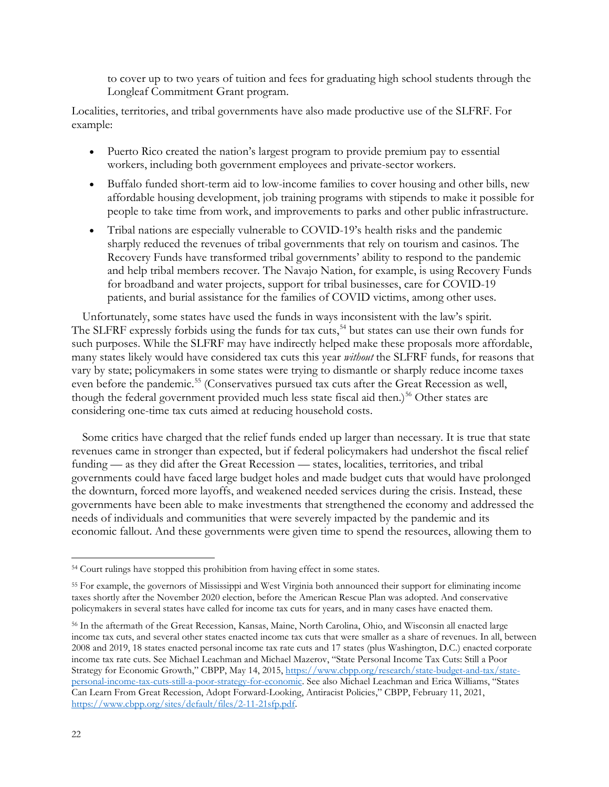to cover up to two years of tuition and fees for graduating high school students through the Longleaf Commitment Grant program.

Localities, territories, and tribal governments have also made productive use of the SLFRF. For example:

- Puerto Rico created the nation's largest program to provide premium pay to essential workers, including both government employees and private-sector workers.
- Buffalo funded short-term aid to low-income families to cover housing and other bills, new affordable housing development, job training programs with stipends to make it possible for people to take time from work, and improvements to parks and other public infrastructure.
- Tribal nations are especially vulnerable to COVID-19's health risks and the pandemic sharply reduced the revenues of tribal governments that rely on tourism and casinos. The Recovery Funds have transformed tribal governments' ability to respond to the pandemic and help tribal members recover. The Navajo Nation, for example, is using Recovery Funds for broadband and water projects, support for tribal businesses, care for COVID-19 patients, and burial assistance for the families of COVID victims, among other uses.

Unfortunately, some states have used the funds in ways inconsistent with the law's spirit. The SLFRF expressly forbids using the funds for tax cuts,<sup>[54](#page-21-0)</sup> but states can use their own funds for such purposes. While the SLFRF may have indirectly helped make these proposals more affordable, many states likely would have considered tax cuts this year *without* the SLFRF funds, for reasons that vary by state; policymakers in some states were trying to dismantle or sharply reduce income taxes even before the pandemic.<sup>[55](#page-21-1)</sup> (Conservatives pursued tax cuts after the Great Recession as well, though the federal government provided much less state fiscal aid then.)<sup>[56](#page-21-2)</sup> Other states are considering one-time tax cuts aimed at reducing household costs.

Some critics have charged that the relief funds ended up larger than necessary. It is true that state revenues came in stronger than expected, but if federal policymakers had undershot the fiscal relief funding — as they did after the Great Recession — states, localities, territories, and tribal governments could have faced large budget holes and made budget cuts that would have prolonged the downturn, forced more layoffs, and weakened needed services during the crisis. Instead, these governments have been able to make investments that strengthened the economy and addressed the needs of individuals and communities that were severely impacted by the pandemic and its economic fallout. And these governments were given time to spend the resources, allowing them to

<span id="page-21-0"></span><sup>54</sup> Court rulings have stopped this prohibition from having effect in some states.

<span id="page-21-1"></span><sup>55</sup> For example, the governors of Mississippi and West Virginia both announced their support for eliminating income taxes shortly after the November 2020 election, before the American Rescue Plan was adopted. And conservative policymakers in several states have called for income tax cuts for years, and in many cases have enacted them.

<span id="page-21-2"></span><sup>56</sup> In the aftermath of the Great Recession, Kansas, Maine, North Carolina, Ohio, and Wisconsin all enacted large income tax cuts, and several other states enacted income tax cuts that were smaller as a share of revenues. In all, between 2008 and 2019, 18 states enacted personal income tax rate cuts and 17 states (plus Washington, D.C.) enacted corporate income tax rate cuts. See Michael Leachman and Michael Mazerov, "State Personal Income Tax Cuts: Still a Poor Strategy for Economic Growth," CBPP, May 14, 2015, [https://www.cbpp.org/research/state-budget-and-tax/state](https://www.cbpp.org/research/state-budget-and-tax/state-personal-income-tax-cuts-still-a-poor-strategy-for-economic)[personal-income-tax-cuts-still-a-poor-strategy-for-economic.](https://www.cbpp.org/research/state-budget-and-tax/state-personal-income-tax-cuts-still-a-poor-strategy-for-economic) See also Michael Leachman and Erica Williams, "States Can Learn From Great Recession, Adopt Forward-Looking, Antiracist Policies," CBPP, February 11, 2021, [https://www.cbpp.org/sites/default/files/2-11-21sfp.pdf.](https://www.cbpp.org/sites/default/files/2-11-21sfp.pdf)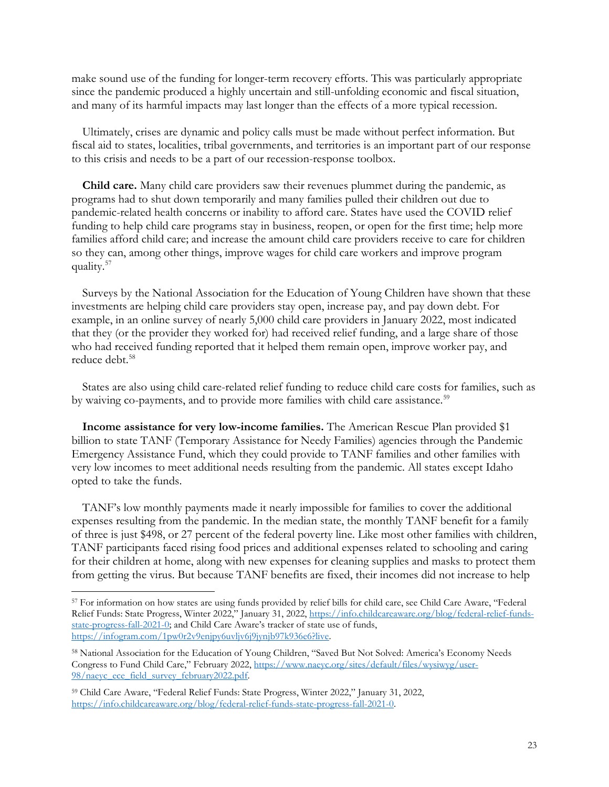make sound use of the funding for longer-term recovery efforts. This was particularly appropriate since the pandemic produced a highly uncertain and still-unfolding economic and fiscal situation, and many of its harmful impacts may last longer than the effects of a more typical recession.

Ultimately, crises are dynamic and policy calls must be made without perfect information. But fiscal aid to states, localities, tribal governments, and territories is an important part of our response to this crisis and needs to be a part of our recession-response toolbox.

**Child care.** Many child care providers saw their revenues plummet during the pandemic, as programs had to shut down temporarily and many families pulled their children out due to pandemic-related health concerns or inability to afford care. States have used the COVID relief funding to help child care programs stay in business, reopen, or open for the first time; help more families afford child care; and increase the amount child care providers receive to care for children so they can, among other things, improve wages for child care workers and improve program quality.[57](#page-22-0)

Surveys by the National Association for the Education of Young Children have shown that these investments are helping child care providers stay open, increase pay, and pay down debt. For example, in an online survey of nearly 5,000 child care providers in January 2022, most indicated that they (or the provider they worked for) had received relief funding, and a large share of those who had received funding reported that it helped them remain open, improve worker pay, and reduce debt.<sup>[58](#page-22-1)</sup>

States are also using child care-related relief funding to reduce child care costs for families, such as by waiving co-payments, and to provide more families with child care assistance.<sup>[59](#page-22-2)</sup>

**Income assistance for very low-income families.** The American Rescue Plan provided \$1 billion to state TANF (Temporary Assistance for Needy Families) agencies through the Pandemic Emergency Assistance Fund, which they could provide to TANF families and other families with very low incomes to meet additional needs resulting from the pandemic. All states except Idaho opted to take the funds.

TANF's low monthly payments made it nearly impossible for families to cover the additional expenses resulting from the pandemic. In the median state, the monthly TANF benefit for a family of three is just \$498, or 27 percent of the federal poverty line. Like most other families with children, TANF participants faced rising food prices and additional expenses related to schooling and caring for their children at home, along with new expenses for cleaning supplies and masks to protect them from getting the virus. But because TANF benefits are fixed, their incomes did not increase to help

<span id="page-22-0"></span><sup>57</sup> For information on how states are using funds provided by relief bills for child care, see Child Care Aware, "Federal Relief Funds: State Progress, Winter 2022," January 31, 2022, [https://info.childcareaware.org/blog/federal-relief-funds](https://info.childcareaware.org/blog/federal-relief-funds-state-progress-fall-2021-0)[state-progress-fall-2021-0;](https://info.childcareaware.org/blog/federal-relief-funds-state-progress-fall-2021-0) and Child Care Aware's tracker of state use of funds, [https://infogram.com/1pw0r2v9enjpy6uvljv6j9jynjb97k936e6?live.](https://infogram.com/1pw0r2v9enjpy6uvljv6j9jynjb97k936e6?live)

<span id="page-22-1"></span><sup>58</sup> National Association for the Education of Young Children, "Saved But Not Solved: America's Economy Needs Congress to Fund Child Care," February 2022, [https://www.naeyc.org/sites/default/files/wysiwyg/user-](https://www.naeyc.org/sites/default/files/wysiwyg/user-98/naeyc_ece_field_survey_february2022.pdf)[98/naeyc\\_ece\\_field\\_survey\\_february2022.pdf.](https://www.naeyc.org/sites/default/files/wysiwyg/user-98/naeyc_ece_field_survey_february2022.pdf)

<span id="page-22-2"></span><sup>59</sup> Child Care Aware, "Federal Relief Funds: State Progress, Winter 2022," January 31, 2022, [https://info.childcareaware.org/blog/federal-relief-funds-state-progress-fall-2021-0.](https://info.childcareaware.org/blog/federal-relief-funds-state-progress-fall-2021-0)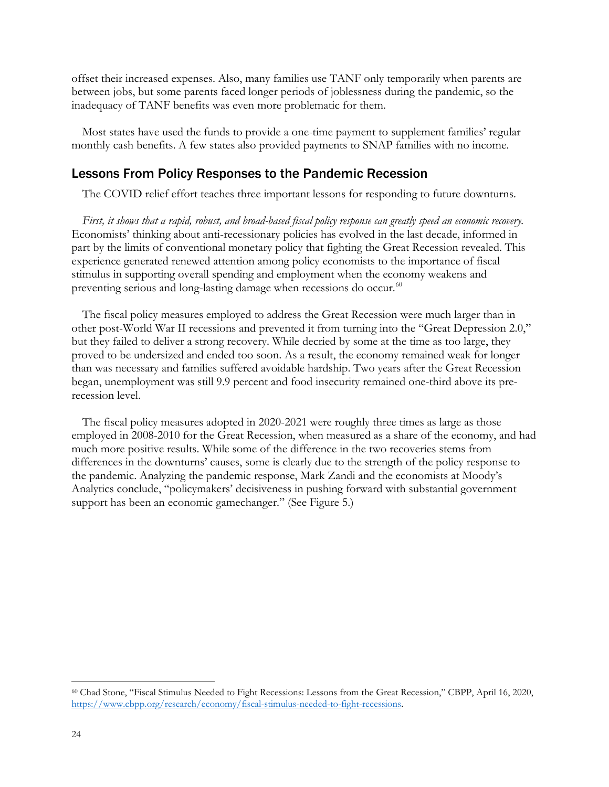offset their increased expenses. Also, many families use TANF only temporarily when parents are between jobs, but some parents faced longer periods of joblessness during the pandemic, so the inadequacy of TANF benefits was even more problematic for them.

Most states have used the funds to provide a one-time payment to supplement families' regular monthly cash benefits. A few states also provided payments to SNAP families with no income.

### Lessons From Policy Responses to the Pandemic Recession

The COVID relief effort teaches three important lessons for responding to future downturns.

*First, it shows that a rapid, robust, and broad-based fiscal policy response can greatly speed an economic recovery.* Economists' thinking about anti-recessionary policies has evolved in the last decade, informed in part by the limits of conventional monetary policy that fighting the Great Recession revealed. This experience generated renewed attention among policy economists to the importance of fiscal stimulus in supporting overall spending and employment when the economy weakens and preventing serious and long-lasting damage when recessions do occur. $60$ 

The fiscal policy measures employed to address the Great Recession were much larger than in other post-World War II recessions and prevented it from turning into the "Great Depression 2.0," but they failed to deliver a strong recovery. While decried by some at the time as too large, they proved to be undersized and ended too soon. As a result, the economy remained weak for longer than was necessary and families suffered avoidable hardship. Two years after the Great Recession began, unemployment was still 9.9 percent and food insecurity remained one-third above its prerecession level.

The fiscal policy measures adopted in 2020-2021 were roughly three times as large as those employed in 2008-2010 for the Great Recession, when measured as a share of the economy, and had much more positive results. While some of the difference in the two recoveries stems from differences in the downturns' causes, some is clearly due to the strength of the policy response to the pandemic. Analyzing the pandemic response, Mark Zandi and the economists at Moody's Analytics conclude, "policymakers' decisiveness in pushing forward with substantial government support has been an economic gamechanger." (See Figure 5.)

<span id="page-23-0"></span><sup>60</sup> Chad Stone, "Fiscal Stimulus Needed to Fight Recessions: Lessons from the Great Recession," CBPP, April 16, 2020, [https://www.cbpp.org/research/economy/fiscal-stimulus-needed-to-fight-recessions.](https://www.cbpp.org/research/economy/fiscal-stimulus-needed-to-fight-recessions)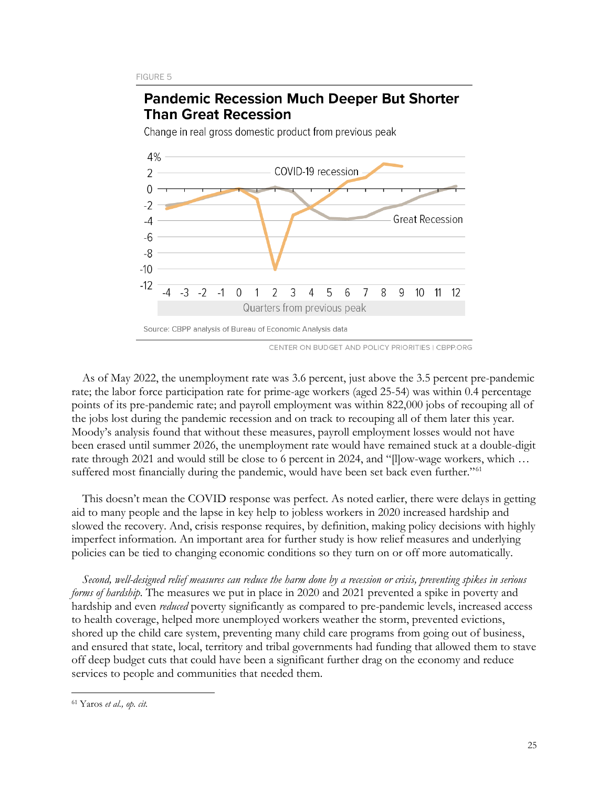

**Pandemic Recession Much Deeper But Shorter** 

CENTER ON BUDGET AND POLICY PRIORITIES I CBPP.ORG

As of May 2022, the unemployment rate was 3.6 percent, just above the 3.5 percent pre-pandemic rate; the labor force participation rate for prime-age workers (aged 25-54) was within 0.4 percentage points of its pre-pandemic rate; and payroll employment was within 822,000 jobs of recouping all of the jobs lost during the pandemic recession and on track to recouping all of them later this year. Moody's analysis found that without these measures, payroll employment losses would not have been erased until summer 2026, the unemployment rate would have remained stuck at a double-digit rate through 2021 and would still be close to 6 percent in 2024, and "[l]ow-wage workers, which … suffered most financially during the pandemic, would have been set back even further."<sup>[61](#page-24-0)</sup>

This doesn't mean the COVID response was perfect. As noted earlier, there were delays in getting aid to many people and the lapse in key help to jobless workers in 2020 increased hardship and slowed the recovery. And, crisis response requires, by definition, making policy decisions with highly imperfect information. An important area for further study is how relief measures and underlying policies can be tied to changing economic conditions so they turn on or off more automatically.

*Second, well-designed relief measures can reduce the harm done by a recession or crisis, preventing spikes in serious forms of hardship.* The measures we put in place in 2020 and 2021 prevented a spike in poverty and hardship and even *reduced* poverty significantly as compared to pre-pandemic levels, increased access to health coverage, helped more unemployed workers weather the storm, prevented evictions, shored up the child care system, preventing many child care programs from going out of business, and ensured that state, local, territory and tribal governments had funding that allowed them to stave off deep budget cuts that could have been a significant further drag on the economy and reduce services to people and communities that needed them.

<span id="page-24-0"></span><sup>61</sup> Yaros *et al., op. cit.*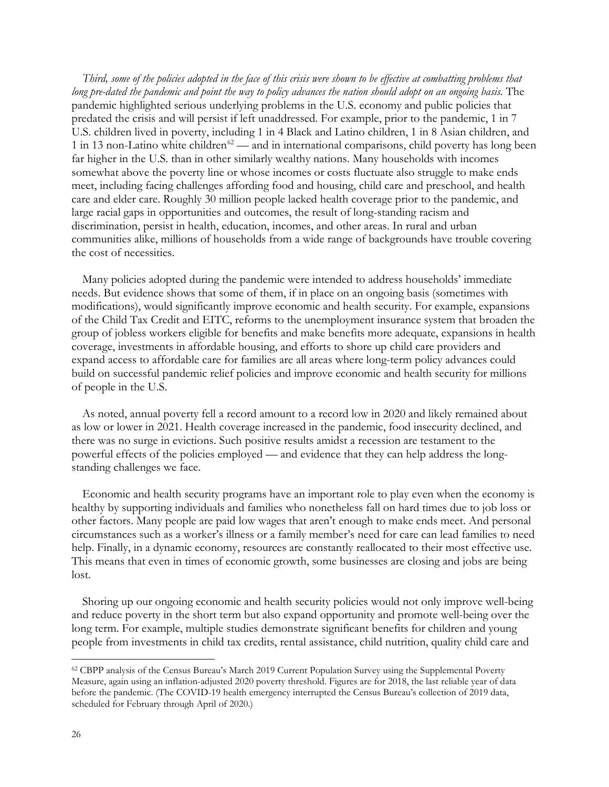*Third, some of the policies adopted in the face of this crisis were shown to be effective at combatting problems that long pre-dated the pandemic and point the way to policy advances the nation should adopt on an ongoing basis.* The pandemic highlighted serious underlying problems in the U.S. economy and public policies that predated the crisis and will persist if left unaddressed. For example, prior to the pandemic, 1 in 7 U.S. children lived in poverty, including 1 in 4 Black and Latino children, 1 in 8 Asian children, and 1 in 13 non-Latino white children<sup>[62](#page-25-0)</sup> — and in international comparisons, child poverty has long been far higher in the U.S. than in other similarly wealthy nations. Many households with incomes somewhat above the poverty line or whose incomes or costs fluctuate also struggle to make ends meet, including facing challenges affording food and housing, child care and preschool, and health care and elder care. Roughly 30 million people lacked health coverage prior to the pandemic, and large racial gaps in opportunities and outcomes, the result of long-standing racism and discrimination, persist in health, education, incomes, and other areas. In rural and urban communities alike, millions of households from a wide range of backgrounds have trouble covering the cost of necessities.

Many policies adopted during the pandemic were intended to address households' immediate needs. But evidence shows that some of them, if in place on an ongoing basis (sometimes with modifications), would significantly improve economic and health security. For example, expansions of the Child Tax Credit and EITC, reforms to the unemployment insurance system that broaden the group of jobless workers eligible for benefits and make benefits more adequate, expansions in health coverage, investments in affordable housing, and efforts to shore up child care providers and expand access to affordable care for families are all areas where long-term policy advances could build on successful pandemic relief policies and improve economic and health security for millions of people in the U.S.

As noted, annual poverty fell a record amount to a record low in 2020 and likely remained about as low or lower in 2021. Health coverage increased in the pandemic, food insecurity declined, and there was no surge in evictions. Such positive results amidst a recession are testament to the powerful effects of the policies employed — and evidence that they can help address the longstanding challenges we face.

Economic and health security programs have an important role to play even when the economy is healthy by supporting individuals and families who nonetheless fall on hard times due to job loss or other factors. Many people are paid low wages that aren't enough to make ends meet. And personal circumstances such as a worker's illness or a family member's need for care can lead families to need help. Finally, in a dynamic economy, resources are constantly reallocated to their most effective use. This means that even in times of economic growth, some businesses are closing and jobs are being lost.

Shoring up our ongoing economic and health security policies would not only improve well-being and reduce poverty in the short term but also expand opportunity and promote well-being over the long term. For example, multiple studies demonstrate significant benefits for children and young people from investments in child tax credits, rental assistance, child nutrition, quality child care and

<span id="page-25-0"></span><sup>62</sup> CBPP analysis of the Census Bureau's March 2019 Current Population Survey using the Supplemental Poverty Measure, again using an inflation-adjusted 2020 poverty threshold. Figures are for 2018, the last reliable year of data before the pandemic. (The COVID-19 health emergency interrupted the Census Bureau's collection of 2019 data, scheduled for February through April of 2020.)